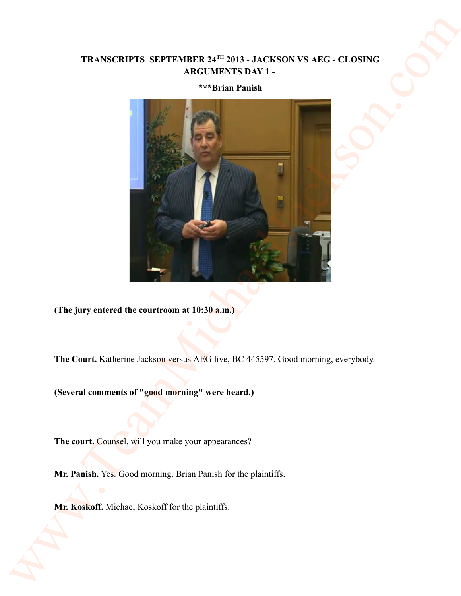# **TRANSCRIPTS SEPTEMBER 24TH 2013 - JACKSON VS AEG - CLOSING ARGUMENTS DAY 1 -**

## **\*\*\*Brian Panish**



**(The jury entered the courtroom at 10:30 a.m.)** 

**The Court.** Katherine Jackson versus AEG live, BC 445597. Good morning, everybody.

**(Several comments of "good morning" were heard.)** 

The court. Counsel, will you make your appearances?

**Mr. Panish.** Yes. Good morning. Brian Panish for the plaintiffs.

**Mr. Koskoff.** Michael Koskoff for the plaintiffs.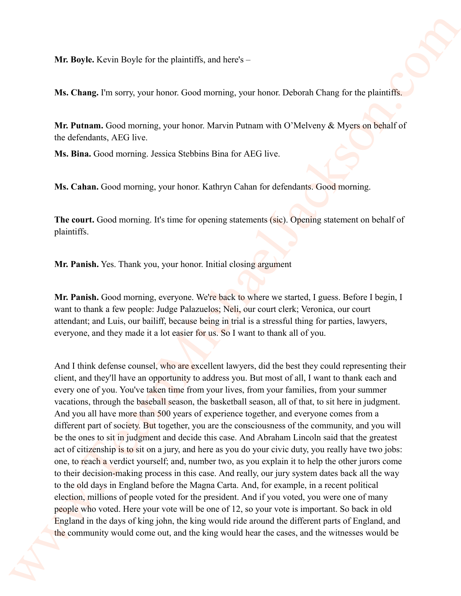**Mr. Boyle.** Kevin Boyle for the plaintiffs, and here's –

**Ms. Chang.** I'm sorry, your honor. Good morning, your honor. Deborah Chang for the plaintiffs.

**Mr. Putnam.** Good morning, your honor. Marvin Putnam with O'Melveny & Myers on behalf of the defendants, AEG live.

**Ms. Bina.** Good morning. Jessica Stebbins Bina for AEG live.

**Ms. Cahan.** Good morning, your honor. Kathryn Cahan for defendants. Good morning.

**The court.** Good morning. It's time for opening statements (sic). Opening statement on behalf of plaintiffs.

**Mr. Panish.** Yes. Thank you, your honor. Initial closing argument

**Mr. Panish.** Good morning, everyone. We're back to where we started, I guess. Before I begin, I want to thank a few people: Judge Palazuelos; Neli, our court clerk; Veronica, our court attendant; and Luis, our bailiff, because being in trial is a stressful thing for parties, lawyers, everyone, and they made it a lot easier for us. So I want to thank all of you.

And I think defense counsel, who are excellent lawyers, did the best they could representing their client, and they'll have an opportunity to address you. But most of all, I want to thank each and every one of you. You've taken time from your lives, from your families, from your summer vacations, through the baseball season, the basketball season, all of that, to sit here in judgment. And you all have more than 500 years of experience together, and everyone comes from a different part of society. But together, you are the consciousness of the community, and you will be the ones to sit in judgment and decide this case. And Abraham Lincoln said that the greatest act of citizenship is to sit on a jury, and here as you do your civic duty, you really have two jobs: one, to reach a verdict yourself; and, number two, as you explain it to help the other jurors come to their decision-making process in this case. And really, our jury system dates back all the way to the old days in England before the Magna Carta. And, for example, in a recent political election, millions of people voted for the president. And if you voted, you were one of many people who voted. Here your vote will be one of 12, so your vote is important. So back in old England in the days of king john, the king would ride around the different parts of England, and the community would come out, and the king would hear the cases, and the witnesses would be We flagte. Kevin Bayle for the plannits, and here)<br>
We Change I'm sarry your home Good memong, your home Deimand Change for the plannit of<br>
We planning, for same Good memoir March Michael Michael Change for the planning<br>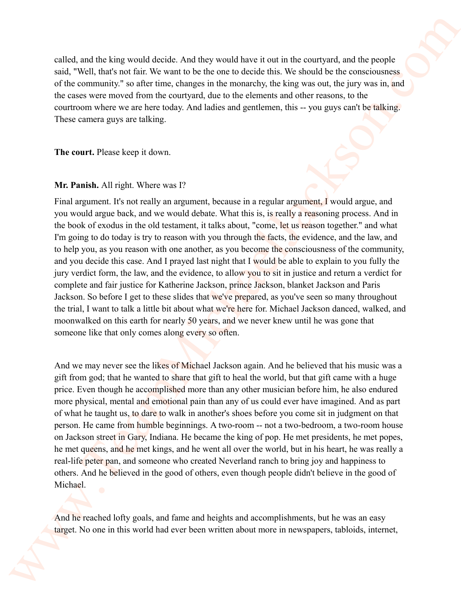called, and the king would decide. And they would have it out in the courtyard, and the people said, "Well, that's not fair. We want to be the one to decide this. We should be the consciousness of the community." so after time, changes in the monarchy, the king was out, the jury was in, and the cases were moved from the courtyard, due to the elements and other reasons, to the courtroom where we are here today. And ladies and gentlemen, this -- you guys can't be talking. These camera guys are talking.

**The court.** Please keep it down.

## **Mr. Panish.** All right. Where was I?

Final argument. It's not really an argument, because in a regular argument, I would argue, and you would argue back, and we would debate. What this is, is really a reasoning process. And in the book of exodus in the old testament, it talks about, "come, let us reason together." and what I'm going to do today is try to reason with you through the facts, the evidence, and the law, and to help you, as you reason with one another, as you become the consciousness of the community, and you decide this case. And I prayed last night that I would be able to explain to you fully the jury verdict form, the law, and the evidence, to allow you to sit in justice and return a verdict for complete and fair justice for Katherine Jackson, prince Jackson, blanket Jackson and Paris Jackson. So before I get to these slides that we've prepared, as you've seen so many throughout the trial, I want to talk a little bit about what we're here for. Michael Jackson danced, walked, and moonwalked on this earth for nearly 50 years, and we never knew until he was gone that someone like that only comes along every so often. called, and the king would deside. And they would have it each the courty and the propele<br>said. Void that with the viscosition be the same in the decide by We showed the line conventeres.<br>
where the same of the same of th

And we may never see the likes of Michael Jackson again. And he believed that his music was a gift from god; that he wanted to share that gift to heal the world, but that gift came with a huge price. Even though he accomplished more than any other musician before him, he also endured more physical, mental and emotional pain than any of us could ever have imagined. And as part of what he taught us, to dare to walk in another's shoes before you come sit in judgment on that person. He came from humble beginnings. A two-room -- not a two-bedroom, a two-room house on Jackson street in Gary, Indiana. He became the king of pop. He met presidents, he met popes, he met queens, and he met kings, and he went all over the world, but in his heart, he was really a real-life peter pan, and someone who created Neverland ranch to bring joy and happiness to others. And he believed in the good of others, even though people didn't believe in the good of Michael.

And he reached lofty goals, and fame and heights and accomplishments, but he was an easy target. No one in this world had ever been written about more in newspapers, tabloids, internet,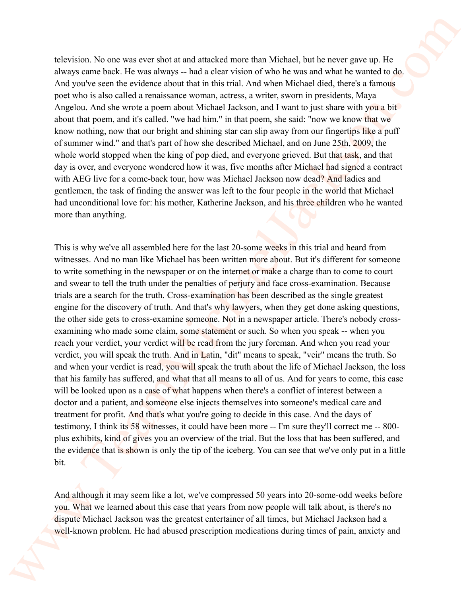television. No one was ever shot at and attacked more than Michael, but he never gave up. He always came back. He was always -- had a clear vision of who he was and what he wanted to do. And you've seen the evidence about that in this trial. And when Michael died, there's a famous poet who is also called a renaissance woman, actress, a writer, sworn in presidents, Maya Angelou. And she wrote a poem about Michael Jackson, and I want to just share with you a bit about that poem, and it's called. "we had him." in that poem, she said: "now we know that we know nothing, now that our bright and shining star can slip away from our fingertips like a puff of summer wind." and that's part of how she described Michael, and on June 25th, 2009, the whole world stopped when the king of pop died, and everyone grieved. But that task, and that day is over, and everyone wondered how it was, five months after Michael had signed a contract with AEG live for a come-back tour, how was Michael Jackson now dead? And ladies and gentlemen, the task of finding the answer was left to the four people in the world that Michael had unconditional love for: his mother, Katherine Jackson, and his three children who he wanted more than anything.

This is why we've all assembled here for the last 20-some weeks in this trial and heard from witnesses. And no man like Michael has been written more about. But it's different for someone to write something in the newspaper or on the internet or make a charge than to come to court and swear to tell the truth under the penalties of perjury and face cross-examination. Because trials are a search for the truth. Cross-examination has been described as the single greatest engine for the discovery of truth. And that's why lawyers, when they get done asking questions, the other side gets to cross-examine someone. Not in a newspaper article. There's nobody crossexamining who made some claim, some statement or such. So when you speak -- when you reach your verdict, your verdict will be read from the jury foreman. And when you read your verdict, you will speak the truth. And in Latin, "dit" means to speak, "veir" means the truth. So and when your verdict is read, you will speak the truth about the life of Michael Jackson, the loss that his family has suffered, and what that all means to all of us. And for years to come, this case will be looked upon as a case of what happens when there's a conflict of interest between a doctor and a patient, and someone else injects themselves into someone's medical care and treatment for profit. And that's what you're going to decide in this case. And the days of testimony, I think its 58 witnesses, it could have been more -- I'm sure they'll correct me -- 800 plus exhibits, kind of gives you an overview of the trial. But the loss that has been suffered, and the evidence that is shown is only the tip of the iceberg. You can see that we've only put in a little bit. relevision. No one was ever show at multidistic wore show Wisheel, but he rever gives in Harpy alone but you whow he sole and who has no and what he would but the same of the sole and the same of the same of the same of t

And although it may seem like a lot, we've compressed 50 years into 20-some-odd weeks before you. What we learned about this case that years from now people will talk about, is there's no dispute Michael Jackson was the greatest entertainer of all times, but Michael Jackson had a well-known problem. He had abused prescription medications during times of pain, anxiety and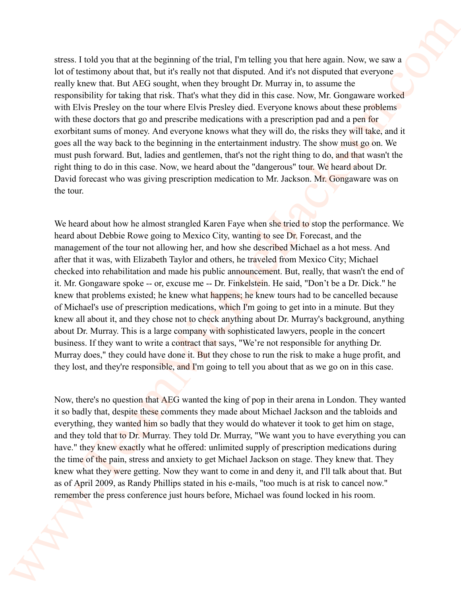stress. I told you that at the beginning of the trial, I'm telling you that here again. Now, we saw a lot of testimony about that, but it's really not that disputed. And it's not disputed that everyone really knew that. But AEG sought, when they brought Dr. Murray in, to assume the responsibility for taking that risk. That's what they did in this case. Now, Mr. Gongaware worked with Elvis Presley on the tour where Elvis Presley died. Everyone knows about these problems with these doctors that go and prescribe medications with a prescription pad and a pen for exorbitant sums of money. And everyone knows what they will do, the risks they will take, and it goes all the way back to the beginning in the entertainment industry. The show must go on. We must push forward. But, ladies and gentlemen, that's not the right thing to do, and that wasn't the right thing to do in this case. Now, we heard about the "dangerous" tour. We heard about Dr. David forecast who was giving prescription medication to Mr. Jackson. Mr. Gongaware was on the tour.

We heard about how he almost strangled Karen Faye when she tried to stop the performance. We heard about Debbie Rowe going to Mexico City, wanting to see Dr. Forecast, and the management of the tour not allowing her, and how she described Michael as a hot mess. And after that it was, with Elizabeth Taylor and others, he traveled from Mexico City; Michael checked into rehabilitation and made his public announcement. But, really, that wasn't the end of it. Mr. Gongaware spoke -- or, excuse me -- Dr. Finkelstein. He said, "Don't be a Dr. Dick." he knew that problems existed; he knew what happens; he knew tours had to be cancelled because of Michael's use of prescription medications, which I'm going to get into in a minute. But they knew all about it, and they chose not to check anything about Dr. Murray's background, anything about Dr. Murray. This is a large company with sophisticated lawyers, people in the concert business. If they want to write a contract that says, "We're not responsible for anything Dr. Murray does," they could have done it. But they chose to run the risk to make a huge profit, and they lost, and they're responsible, and I'm going to tell you about that as we go on in this case. arises. I rad you their interpretium of the risid, Porteling you that here again. Now yer as a better formulate that the same of the signal of notice that the same of the same of the same of the same of the same of the sa

Now, there's no question that AEG wanted the king of pop in their arena in London. They wanted it so badly that, despite these comments they made about Michael Jackson and the tabloids and everything, they wanted him so badly that they would do whatever it took to get him on stage, and they told that to Dr. Murray. They told Dr. Murray, "We want you to have everything you can have." they knew exactly what he offered: unlimited supply of prescription medications during the time of the pain, stress and anxiety to get Michael Jackson on stage. They knew that. They knew what they were getting. Now they want to come in and deny it, and I'll talk about that. But as of April 2009, as Randy Phillips stated in his e-mails, "too much is at risk to cancel now." remember the press conference just hours before, Michael was found locked in his room.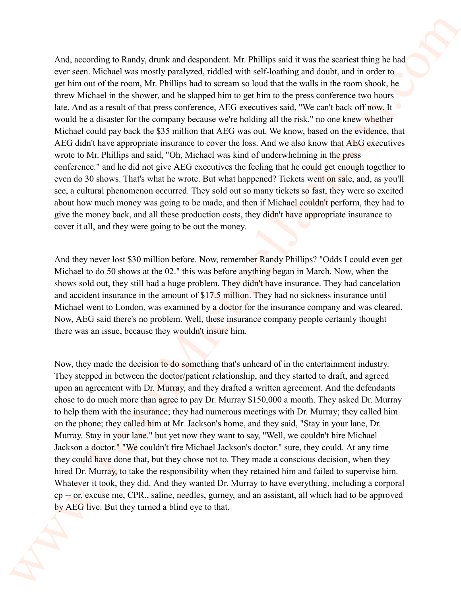And, according to Randy, drunk and despondent. Mr. Phillips said it was the scariest thing he had ever seen. Michael was mostly paralyzed, riddled with self-loathing and doubt, and in order to get him out of the room, Mr. Phillips had to scream so loud that the walls in the room shook, he threw Michael in the shower, and he slapped him to get him to the press conference two hours late. And as a result of that press conference, AEG executives said, "We can't back off now. It  $\bullet$ would be a disaster for the company because we're holding all the risk." no one knew whether Michael could pay back the \$35 million that AEG was out. We know, based on the evidence, that AEG didn't have appropriate insurance to cover the loss. And we also know that AEG executives wrote to Mr. Phillips and said, "Oh, Michael was kind of underwhelming in the press conference." and he did not give AEG executives the feeling that he could get enough together to even do 30 shows. That's what he wrote. But what happened? Tickets went on sale, and, as you'll see, a cultural phenomenon occurred. They sold out so many tickets so fast, they were so excited about how much money was going to be made, and then if Michael couldn't perform, they had to give the money back, and all these production costs, they didn't have appropriate insurance to cover it all, and they were going to be out the money. And according to Randy, during and desptrachet Mr Phillips and it was the same of the same in New setting the base of the same of the same of the same of the same of the same of the same of the same of the same of the sam

And they never lost \$30 million before. Now, remember Randy Phillips? "Odds I could even get Michael to do 50 shows at the 02." this was before anything began in March. Now, when the shows sold out, they still had a huge problem. They didn't have insurance. They had cancelation and accident insurance in the amount of \$17.5 million. They had no sickness insurance until Michael went to London, was examined by a doctor for the insurance company and was cleared. Now, AEG said there's no problem. Well, these insurance company people certainly thought there was an issue, because they wouldn't insure him.

Now, they made the decision to do something that's unheard of in the entertainment industry. They stepped in between the doctor/patient relationship, and they started to draft, and agreed upon an agreement with Dr. Murray, and they drafted a written agreement. And the defendants chose to do much more than agree to pay Dr. Murray \$150,000 a month. They asked Dr. Murray to help them with the insurance; they had numerous meetings with Dr. Murray; they called him on the phone; they called him at Mr. Jackson's home, and they said, "Stay in your lane, Dr. Murray. Stay in your lane." but yet now they want to say, "Well, we couldn't hire Michael Jackson a doctor." "We couldn't fire Michael Jackson's doctor." sure, they could. At any time they could have done that, but they chose not to. They made a conscious decision, when they hired Dr. Murray, to take the responsibility when they retained him and failed to supervise him. Whatever it took, they did. And they wanted Dr. Murray to have everything, including a corporal cp -- or, excuse me, CPR., saline, needles, gurney, and an assistant, all which had to be approved by AEG live. But they turned a blind eye to that.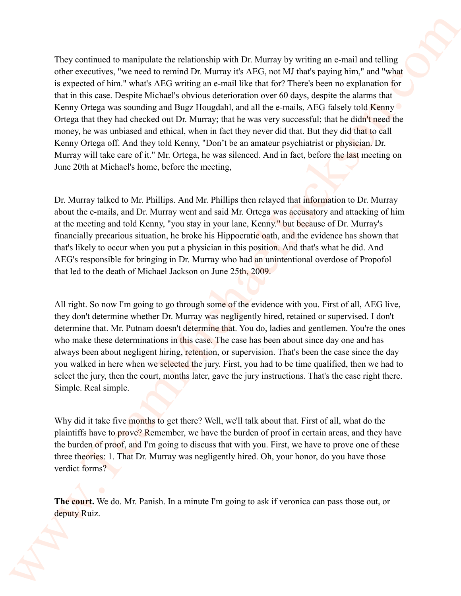They continued to manipulate the relationship with Dr. Murray by writing an e-mail and telling other executives, "we need to remind Dr. Murray it's AEG, not MJ that's paying him," and "what is expected of him." what's AEG writing an e-mail like that for? There's been no explanation for that in this case. Despite Michael's obvious deterioration over 60 days, despite the alarms that Kenny Ortega was sounding and Bugz Hougdahl, and all the e-mails, AEG falsely told Kenny Ortega that they had checked out Dr. Murray; that he was very successful; that he didn't need the money, he was unbiased and ethical, when in fact they never did that. But they did that to call Kenny Ortega off. And they told Kenny, "Don't be an amateur psychiatrist or physician. Dr. Murray will take care of it." Mr. Ortega, he was silenced. And in fact, before the last meeting on June 20th at Michael's home, before the meeting, They continued to wurning<br>the fit extends the relationship with Dr. Murray by writing an e-mail and in<br>the exception of the weak AICs source and the time is AICs and in Thus comparison in<br>the system and V-state system in

Dr. Murray talked to Mr. Phillips. And Mr. Phillips then relayed that information to Dr. Murray about the e-mails, and Dr. Murray went and said Mr. Ortega was accusatory and attacking of him at the meeting and told Kenny, "you stay in your lane, Kenny." but because of Dr. Murray's financially precarious situation, he broke his Hippocratic oath, and the evidence has shown that that's likely to occur when you put a physician in this position. And that's what he did. And AEG's responsible for bringing in Dr. Murray who had an unintentional overdose of Propofol that led to the death of Michael Jackson on June 25th, 2009.

All right. So now I'm going to go through some of the evidence with you. First of all, AEG live, they don't determine whether Dr. Murray was negligently hired, retained or supervised. I don't determine that. Mr. Putnam doesn't determine that. You do, ladies and gentlemen. You're the ones who make these determinations in this case. The case has been about since day one and has always been about negligent hiring, retention, or supervision. That's been the case since the day you walked in here when we selected the jury. First, you had to be time qualified, then we had to select the jury, then the court, months later, gave the jury instructions. That's the case right there. Simple. Real simple.

Why did it take five months to get there? Well, we'll talk about that. First of all, what do the plaintiffs have to prove? Remember, we have the burden of proof in certain areas, and they have the burden of proof, and I'm going to discuss that with you. First, we have to prove one of these three theories: 1. That Dr. Murray was negligently hired. Oh, your honor, do you have those verdict forms?

**The court.** We do. Mr. Panish. In a minute I'm going to ask if veronica can pass those out, or deputy Ruiz.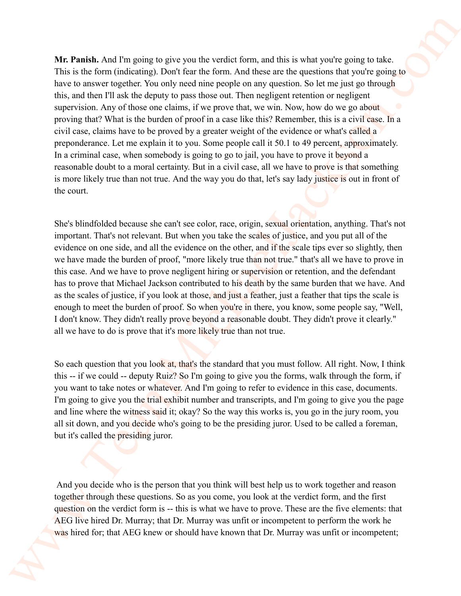**Mr. Panish.** And I'm going to give you the verdict form, and this is what you're going to take. This is the form (indicating). Don't fear the form. And these are the questions that you're going to have to answer together. You only need nine people on any question. So let me just go through this, and then I'll ask the deputy to pass those out. Then negligent retention or negligent supervision. Any of those one claims, if we prove that, we win. Now, how do we go about proving that? What is the burden of proof in a case like this? Remember, this is a civil case. In a civil case, claims have to be proved by a greater weight of the evidence or what's called a preponderance. Let me explain it to you. Some people call it 50.1 to 49 percent, approximately. In a criminal case, when somebody is going to go to jail, you have to prove it beyond a reasonable doubt to a moral certainty. But in a civil case, all we have to prove is that something is more likely true than not true. And the way you do that, let's say lady justice is out in front of the court. We, Panish, And Progentg to give you the vertica form, and this is what you're going to the British this in the form of the same for the same for the same of the same of the same of the same of the same of the same of the

She's blindfolded because she can't see color, race, origin, sexual orientation, anything. That's not important. That's not relevant. But when you take the scales of justice, and you put all of the evidence on one side, and all the evidence on the other, and if the scale tips ever so slightly, then we have made the burden of proof, "more likely true than not true." that's all we have to prove in this case. And we have to prove negligent hiring or supervision or retention, and the defendant has to prove that Michael Jackson contributed to his death by the same burden that we have. And as the scales of justice, if you look at those, and just a feather, just a feather that tips the scale is enough to meet the burden of proof. So when you're in there, you know, some people say, "Well, I don't know. They didn't really prove beyond a reasonable doubt. They didn't prove it clearly." all we have to do is prove that it's more likely true than not true.

So each question that you look at, that's the standard that you must follow. All right. Now, I think this -- if we could -- deputy Ruiz? So I'm going to give you the forms, walk through the form, if you want to take notes or whatever. And I'm going to refer to evidence in this case, documents. I'm going to give you the trial exhibit number and transcripts, and I'm going to give you the page and line where the witness said it; okay? So the way this works is, you go in the jury room, you all sit down, and you decide who's going to be the presiding juror. Used to be called a foreman, but it's called the presiding juror.

 And you decide who is the person that you think will best help us to work together and reason together through these questions. So as you come, you look at the verdict form, and the first question on the verdict form is -- this is what we have to prove. These are the five elements: that AEG live hired Dr. Murray; that Dr. Murray was unfit or incompetent to perform the work he was hired for; that AEG knew or should have known that Dr. Murray was unfit or incompetent;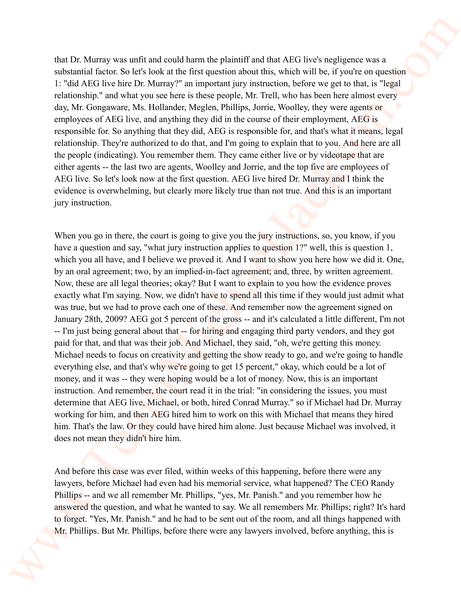that Dr. Murray was unfit and could harm the plaintiff and that AEG live's negligence was a substantial factor. So let's look at the first question about this, which will be, if you're on question 1: "did AEG live hire Dr. Murray?" an important jury instruction, before we get to that, is "legal relationship." and what you see here is these people, Mr. Trell, who has been here almost every day, Mr. Gongaware, Ms. Hollander, Meglen, Phillips, Jorrie, Woolley, they were agents or employees of AEG live, and anything they did in the course of their employment, AEG is responsible for. So anything that they did, AEG is responsible for, and that's what it means, legal relationship. They're authorized to do that, and I'm going to explain that to you. And here are all the people (indicating). You remember them. They came either live or by videotape that are either agents -- the last two are agents, Woolley and Jorrie, and the top five are employees of AEG live. So let's look now at the first question. AEG live hired Dr. Murray and I think the evidence is overwhelming, but clearly more likely true than not true. And this is an important jury instruction.

When you go in there, the court is going to give you the jury instructions, so, you know, if you have a question and say, "what jury instruction applies to question 1?" well, this is question 1, which you all have, and I believe we proved it. And I want to show you here how we did it. One, by an oral agreement; two, by an implied-in-fact agreement; and, three, by written agreement. Now, these are all legal theories; okay? But I want to explain to you how the evidence proves exactly what I'm saying. Now, we didn't have to spend all this time if they would just admit what was true, but we had to prove each one of these. And remember now the agreement signed on January 28th, 2009? AEG got 5 percent of the gross -- and it's calculated a little different, I'm not -- I'm just being general about that -- for hiring and engaging third party vendors, and they got paid for that, and that was their job. And Michael, they said, "oh, we're getting this money. Michael needs to focus on creativity and getting the show ready to go, and we're going to handle everything else, and that's why we're going to get 15 percent," okay, which could be a lot of money, and it was -- they were hoping would be a lot of money. Now, this is an important instruction. And remember, the court read it in the trial: "in considering the issues, you must determine that AEG live, Michael, or both, hired Conrad Murray." so if Michael had Dr. Murray working for him, and then AEG hired him to work on this with Michael that means they hired him. That's the law. Or they could have hired him alone. Just because Michael was involved, it does not mean they didn't hire him. that Dr. Memoy was units and could harm the platearitized has ATC loves negligenes was a<br>substant lateral content that the strained in the strained in Figure 1.<br>
To do Michael the the Dr. Memoy P an experime pay produced

And before this case was ever filed, within weeks of this happening, before there were any lawyers, before Michael had even had his memorial service, what happened? The CEO Randy Phillips -- and we all remember Mr. Phillips, "yes, Mr. Panish." and you remember how he answered the question, and what he wanted to say. We all remembers Mr. Phillips; right? It's hard to forget. "Yes, Mr. Panish." and he had to be sent out of the room, and all things happened with Mr. Phillips. But Mr. Phillips, before there were any lawyers involved, before anything, this is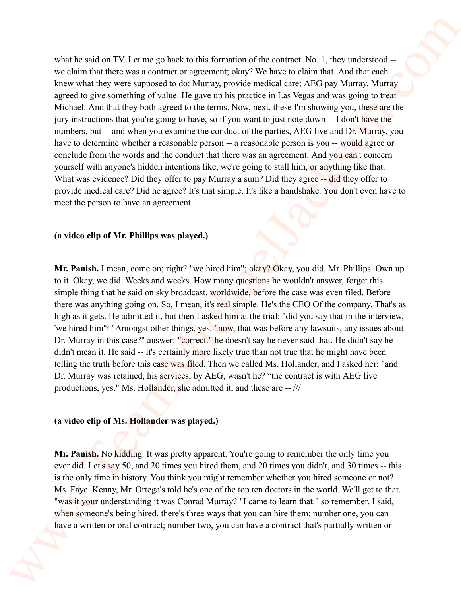what he said on TV. Let me go back to this formation of the contract. No. 1, they understood -we claim that there was a contract or agreement; okay? We have to claim that. And that each knew what they were supposed to do: Murray, provide medical care; AEG pay Murray. Murray agreed to give something of value. He gave up his practice in Las Vegas and was going to treat Michael. And that they both agreed to the terms. Now, next, these I'm showing you, these are the jury instructions that you're going to have, so if you want to just note down -- I don't have the numbers, but -- and when you examine the conduct of the parties, AEG live and Dr. Murray, you have to determine whether a reasonable person -- a reasonable person is you -- would agree or conclude from the words and the conduct that there was an agreement. And you can't concern yourself with anyone's hidden intentions like, we're going to stall him, or anything like that. What was evidence? Did they offer to pay Murray a sum? Did they agree -- did they offer to provide medical care? Did he agree? It's that simple. It's like a handshake. You don't even have to meet the person to have an agreement. what he said on TV 1 et me get has k n'ni is formation of the contract No. 1, they underwood.<br>
vection that the wear solution to generate player We there is a charge of the National Charge Street Control and the same stat

## **(a video clip of Mr. Phillips was played.)**

**Mr. Panish.** I mean, come on; right? "we hired him"; okay? Okay, you did, Mr. Phillips. Own up to it. Okay, we did. Weeks and weeks. How many questions he wouldn't answer, forget this simple thing that he said on sky broadcast, worldwide, before the case was even filed. Before there was anything going on. So, I mean, it's real simple. He's the CEO Of the company. That's as high as it gets. He admitted it, but then I asked him at the trial: "did you say that in the interview, 'we hired him'? "Amongst other things, yes. "now, that was before any lawsuits, any issues about Dr. Murray in this case?" answer: "correct." he doesn't say he never said that. He didn't say he didn't mean it. He said -- it's certainly more likely true than not true that he might have been telling the truth before this case was filed. Then we called Ms. Hollander, and I asked her: "and Dr. Murray was retained, his services, by AEG, wasn't he? "the contract is with AEG live productions, yes." Ms. Hollander, she admitted it, and these are -- ///

#### **(a video clip of Ms. Hollander was played.)**

**Mr. Panish.** No kidding. It was pretty apparent. You're going to remember the only time you ever did. Let's say 50, and 20 times you hired them, and 20 times you didn't, and 30 times -- this is the only time in history. You think you might remember whether you hired someone or not? Ms. Faye. Kenny, Mr. Ortega's told he's one of the top ten doctors in the world. We'll get to that. "was it your understanding it was Conrad Murray? "I came to learn that." so remember, I said, when someone's being hired, there's three ways that you can hire them: number one, you can have a written or oral contract; number two, you can have a contract that's partially written or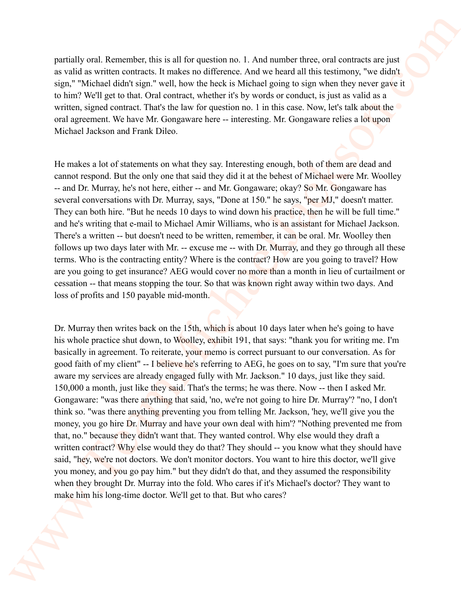partially oral. Remember, this is all for question no. 1. And number three, oral contracts are just as valid as written contracts. It makes no difference. And we heard all this testimony, "we didn't sign," "Michael didn't sign." well, how the heck is Michael going to sign when they never gave it to him? We'll get to that. Oral contract, whether it's by words or conduct, is just as valid as a written, signed contract. That's the law for question no. 1 in this case. Now, let's talk about the oral agreement. We have Mr. Gongaware here -- interesting. Mr. Gongaware relies a lot upon Michael Jackson and Frank Dileo.

He makes a lot of statements on what they say. Interesting enough, both of them are dead and cannot respond. But the only one that said they did it at the behest of Michael were Mr. Woolley -- and Dr. Murray, he's not here, either -- and Mr. Gongaware; okay? So Mr. Gongaware has several conversations with Dr. Murray, says, "Done at 150." he says, "per MJ," doesn't matter. They can both hire. "But he needs 10 days to wind down his practice, then he will be full time." and he's writing that e-mail to Michael Amir Williams, who is an assistant for Michael Jackson. There's a written -- but doesn't need to be written, remember, it can be oral. Mr. Woolley then follows up two days later with Mr. -- excuse me -- with Dr. Murray, and they go through all these terms. Who is the contracting entity? Where is the contract? How are you going to travel? How are you going to get insurance? AEG would cover no more than a month in lieu of curtailment or cessation -- that means stopping the tour. So that was known right away within two days. And loss of profits and 150 payable mid-month.

Dr. Murray then writes back on the 15th, which is about 10 days later when he's going to have his whole practice shut down, to Woolley, exhibit 191, that says: "thank you for writing me. I'm basically in agreement. To reiterate, your memo is correct pursuant to our conversation. As for good faith of my client" -- I believe he's referring to AEG, he goes on to say, "I'm sure that you're aware my services are already engaged fully with Mr. Jackson." 10 days, just like they said. 150,000 a month, just like they said. That's the terms; he was there. Now -- then I asked Mr. Gongaware: "was there anything that said, 'no, we're not going to hire Dr. Murray'? "no, I don't think so. "was there anything preventing you from telling Mr. Jackson, 'hey, we'll give you the money, you go hire Dr. Murray and have your own deal with him'? "Nothing prevented me from that, no." because they didn't want that. They wanted control. Why else would they draft a written contract? Why else would they do that? They should -- you know what they should have said, "hey, we're not doctors. We don't monitor doctors. You want to hire this doctor, we'll give you money, and you go pay him." but they didn't do that, and they assumed the responsibility when they brought Dr. Murray into the fold. Who cares if it's Michael's doctor? They want to make him his long-time doctor. We'll get to that. But who cares? pairtially and. Remember, the is hall for quasicion no. 1. And number there, and contracts are just as well as the solution of the mass of the base of the base of the solution of the solution of the solution of the soluti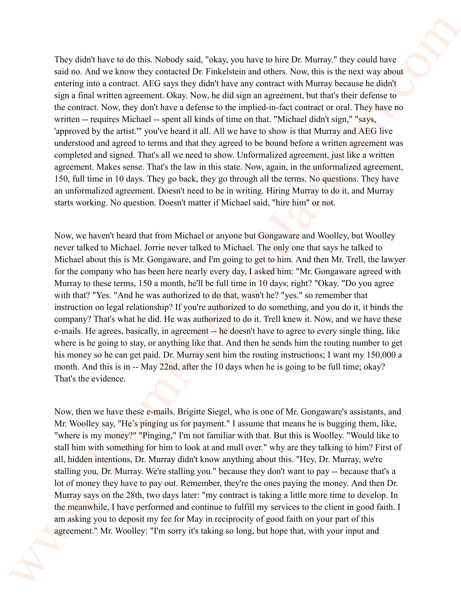They didn't have to do this. Nobody said, "okay, you have to hire Dr. Murray." they could have said no. And we know they contacted Dr. Finkelstein and others. Now, this is the next way about entering into a contract. AEG says they didn't have any contract with Murray because he didn't sign a final written agreement. Okay. Now, he did sign an agreement, but that's their defense to the contract. Now, they don't have a defense to the implied-in-fact contract or oral. They have no written -- requires Michael -- spent all kinds of time on that. "Michael didn't sign," "says, 'approved by the artist.'" you've heard it all. All we have to show is that Murray and AEG live understood and agreed to terms and that they agreed to be bound before a written agreement was completed and signed. That's all we need to show. Unformalized agreement, just like a written agreement. Makes sense. That's the law in this state. Now, again, in the unformalized agreement, 150, full time in 10 days. They go back, they go through all the terms. No questions. They have an unformalized agreement. Doesn't need to be in writing. Hiring Murray to do it, and Murray starts working. No question. Doesn't matter if Michael said, "hire him" or not.

Now, we haven't heard that from Michael or anyone but Gongaware and Woolley, but Woolley never talked to Michael. Jorrie never talked to Michael. The only one that says he talked to Michael about this is Mr. Gongaware, and I'm going to get to him. And then Mr. Trell, the lawyer for the company who has been here nearly every day, I asked him: "Mr. Gongaware agreed with Murray to these terms, 150 a month, he'll be full time in 10 days; right? "Okay. "Do you agree with that? "Yes. "And he was authorized to **do** that, wasn't he? "yes." so remember that instruction on legal relationship? If you're authorized to do something, and you do it, it binds the company? That's what he did. He was authorized to do it. Trell knew it. Now, and we have these e-mails. He agrees, basically, in agreement -- he doesn't have to agree to every single thing, like where is he going to stay, or anything like that. And then he sends him the routing number to get his money so he can get paid. Dr. Murray sent him the routing instructions; I want my 150,000 a month. And this is in -- May 22nd, after the 10 days when he is going to be full time; okay? That's the evidence. They share have to do this. Notedy and , "oleay, you have to inter Dr. Murray" they caudel was said as Arabis and the Michael main these. Way, they are been say that a said come of the same of the same of the same of the

Now, then we have these e-mails. Brigitte Siegel, who is one of Mr. Gongaware's assistants, and Mr. Woolley say, "He's pinging us for payment." I assume that means he is bugging them, like, "where is my money?" "Pinging," I'm not familiar with that. But this is Woolley. "Would like to stall him with something for him to look at and mull over." why are they talking to him? First of all, hidden intentions, Dr. Murray didn't know anything about this. "Hey, Dr. Murray, we're stalling you, Dr. Murray. We're stalling you." because they don't want to pay -- because that's a lot of money they have to pay out. Remember, they're the ones paying the money. And then Dr. Murray says on the 28th, two days later: "my contract is taking a little more time to develop. In the meanwhile, I have performed and continue to fulfill my services to the client in good faith. I am asking you to deposit my fee for May in reciprocity of good faith on your part of this agreement." Mr. Woolley: "I'm sorry it's taking so long, but hope that, with your input and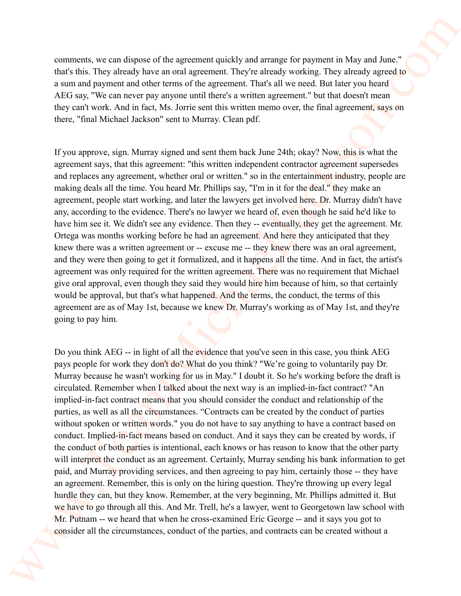comments, we can dispose of the agreement quickly and arrange for payment in May and June." that's this. They already have an oral agreement. They're already working. They already agreed to a sum and payment and other terms of the agreement. That's all we need. But later you heard AEG say, "We can never pay anyone until there's a written agreement." but that doesn't mean they can't work. And in fact, Ms. Jorrie sent this written memo over, the final agreement, says on there, "final Michael Jackson" sent to Murray. Clean pdf.

If you approve, sign. Murray signed and sent them back June 24th; okay? Now, this is what the agreement says, that this agreement: "this written independent contractor agreement supersedes and replaces any agreement, whether oral or written." so in the entertainment industry, people are making deals all the time. You heard Mr. Phillips say, "I'm in it for the deal." they make an agreement, people start working, and later the lawyers get involved here. Dr. Murray didn't have any, according to the evidence. There's no lawyer we heard of, even though he said he'd like to have him see it. We didn't see any evidence. Then they -- eventually, they get the agreement. Mr. Ortega was months working before he had an agreement. And here they anticipated that they knew there was a written agreement or -- excuse me -- they knew there was an oral agreement, and they were then going to get it formalized, and it happens all the time. And in fact, the artist's agreement was only required for the written agreement. There was no requirement that Michael give oral approval, even though they said they would hire him because of him, so that certainly would be approval, but that's what happened. And the terms, the conduct, the terms of this agreement are as of May 1st, because we knew Dr. Murray's working as of May 1st, and they're going to pay him.

Do you think AEG -- in light of all the evidence that you've seen in this case, you think AEG pays people for work they don't do? What do you think? "We're going to voluntarily pay Dr. Murray because he wasn't working for us in May." I doubt it. So he's working before the draft is circulated. Remember when I talked about the next way is an implied-in-fact contract? "An implied-in-fact contract means that you should consider the conduct and relationship of the parties, as well as all the circumstances. "Contracts can be created by the conduct of parties without spoken or written words." you do not have to say anything to have a contract based on conduct. Implied-in-fact means based on conduct. And it says they can be created by words, if the conduct of both parties is intentional, each knows or has reason to know that the other party will interpret the conduct as an agreement. Certainly, Murray sending his bank information to get paid, and Murray providing services, and then agreeing to pay him, certainly those -- they have an agreement. Remember, this is only on the hiring question. They're throwing up every legal hurdle they can, but they know. Remember, at the very beginning, Mr. Phillips admitted it. But we have to go through all this. And Mr. Trell, he's a lawyer, went to Georgetown law school with Mr. Putnam -- we heard that when he cross-examined Eric George -- and it says you got to consider all the circumstances, conduct of the parties, and contracts can be created without a comments, we can dispute of the agreement contity and imragge for payment in May and June 2<br>that's through the amplitude the main growten Their alternative main statistic symbol speeches the Theory of the symbol speeches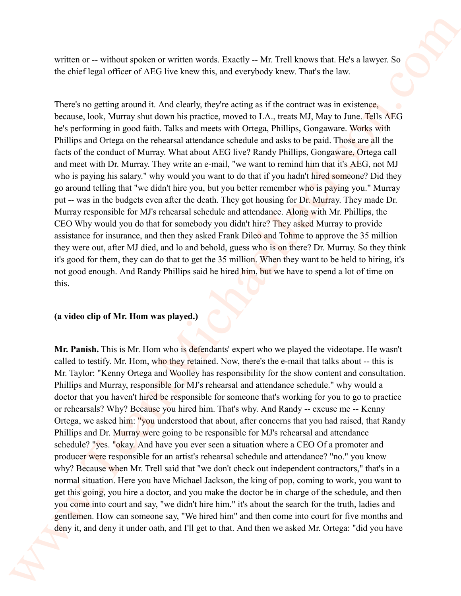written or -- without spoken or written words. Exactly -- Mr. Trell knows that. He's a lawyer. So the chief legal officer of AEG live knew this, and everybody knew. That's the law.

There's no getting around it. And clearly, they're acting as if the contract was in existence, because, look, Murray shut down his practice, moved to LA., treats MJ, May to June. Tells AEG he's performing in good faith. Talks and meets with Ortega, Phillips, Gongaware. Works with Phillips and Ortega on the rehearsal attendance schedule and asks to be paid. Those are all the facts of the conduct of Murray. What about AEG live? Randy Phillips, Gongaware, Ortega call and meet with Dr. Murray. They write an e-mail, "we want to remind him that it's AEG, not MJ who is paying his salary." why would you want to do that if you hadn't hired someone? Did they go around telling that "we didn't hire you, but you better remember who is paying you." Murray put -- was in the budgets even after the death. They got housing for Dr. Murray. They made Dr. Murray responsible for MJ's rehearsal schedule and attendance. Along with Mr. Phillips, the CEO Why would you do that for somebody you didn't hire? They asked Murray to provide assistance for insurance, and then they asked Frank Dileo and Tohme to approve the 35 million they were out, after MJ died, and lo and behold, guess who is on there? Dr. Murray. So they think it's good for them, they can do that to get the 35 million. When they want to be held to hiring, it's not good enough. And Randy Phillips said he hired him, but we have to spend a lot of time on this.

#### **(a video clip of Mr. Hom was played.)**

**Mr. Panish.** This is Mr. Hom who is defendants' expert who we played the videotape. He wasn't called to testify. Mr. Hom, who they retained. Now, there's the e-mail that talks about -- this is Mr. Taylor: "Kenny Ortega and Woolley has responsibility for the show content and consultation. Phillips and Murray, responsible for MJ's rehearsal and attendance schedule." why would a doctor that you haven't hired be responsible for someone that's working for you to go to practice or rehearsals? Why? Because you hired him. That's why. And Randy -- excuse me -- Kenny Ortega, we asked him: "you understood that about, after concerns that you had raised, that Randy Phillips and Dr. Murray were going to be responsible for MJ's rehearsal and attendance schedule? "yes. "okay. And have you ever seen a situation where a CEO Of a promoter and producer were responsible for an artist's rehearsal schedule and attendance? "no." you know why? Because when Mr. Trell said that "we don't check out independent contractors," that's in a normal situation. Here you have Michael Jackson, the king of pop, coming to work, you want to get this going, you hire a doctor, and you make the doctor be in charge of the schedule, and then you come into court and say, "we didn't hire him." it's about the search for the truth, ladies and gentlemen. How can someone say, "We hired him" and then come into court for five months and deny it, and deny it under oath, and I'll get to that. And then we asked Mr. Ortega: "did you have written or  $\sim$  without spokes or w-ritter words. Fixedly  $\sim$  MF Tell knows that Ides a lawyer So<br>the cheriff egal of Michael Michael Michael Michael Michael Michael Michael Michael Michael Michael Michael Michael Michae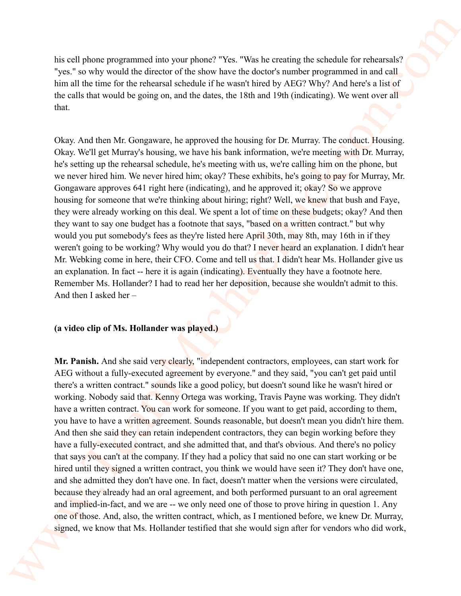his cell phone programmed into your phone? "Yes. "Was he creating the schedule for rehearsals? "yes." so why would the director of the show have the doctor's number programmed in and call him all the time for the rehearsal schedule if he wasn't hired by AEG? Why? And here's a list of the calls that would be going on, and the dates, the 18th and 19th (indicating). We went over all that.

Okay. And then Mr. Gongaware, he approved the housing for Dr. Murray. The conduct. Housing. Okay. We'll get Murray's housing, we have his bank information, we're meeting with Dr. Murray, he's setting up the rehearsal schedule, he's meeting with us, we're calling him on the phone, but we never hired him. We never hired him; okay? These exhibits, he's going to pay for Murray, Mr. Gongaware approves 641 right here (indicating), and he approved it; okay? So we approve housing for someone that we're thinking about hiring; right? Well, we knew that bush and Faye, they were already working on this deal. We spent a lot of time on these budgets; okay? And then they want to say one budget has a footnote that says, "based on a written contract." but why would you put somebody's fees as they're listed here April 30th, may 8th, may 16th in if they weren't going to be working? Why would you do that? I never heard an explanation. I didn't hear Mr. Webking come in here, their CFO. Come and tell us that. I didn't hear Ms. Hollander give us an explanation. In fact -- here it is again (indicating). Eventually they have a footnote here. Remember Ms. Hollander? I had to read her her deposition, because she wouldn't admit to this. And then I asked her –

#### **(a video clip of Ms. Hollander was played.)**

Mr. Panish. And she said very clearly, "independent contractors, employees, can start work for AEG without a fully-executed agreement by everyone." and they said, "you can't get paid until there's a written contract." sounds like a good policy, but doesn't sound like he wasn't hired or working. Nobody said that. Kenny Ortega was working, Travis Payne was working. They didn't have a written contract. You can work for someone. If you want to get paid, according to them, you have to have a written agreement. Sounds reasonable, but doesn't mean you didn't hire them. And then she said they can retain independent contractors, they can begin working before they have a fully-executed contract, and she admitted that, and that's obvious. And there's no policy that says you can't at the company. If they had a policy that said no one can start working or be hired until they signed a written contract, you think we would have seen it? They don't have one, and she admitted they don't have one. In fact, doesn't matter when the versions were circulated, because they already had an oral agreement, and both performed pursuant to an oral agreement and implied-in-fact, and we are -- we only need one of those to prove hiring in question 1. Any one of those. And, also, the written contract, which, as I mentioned before, we knew Dr. Murray, signed, we know that Ms. Hollander testified that she would sign after for vendors who did work, Note the phonometric into your grane? "Yes, "West We creating the schedule for melometally "yes" as why small that denotes the denotes the effective melometric melometric melometric melometric interactions are the state o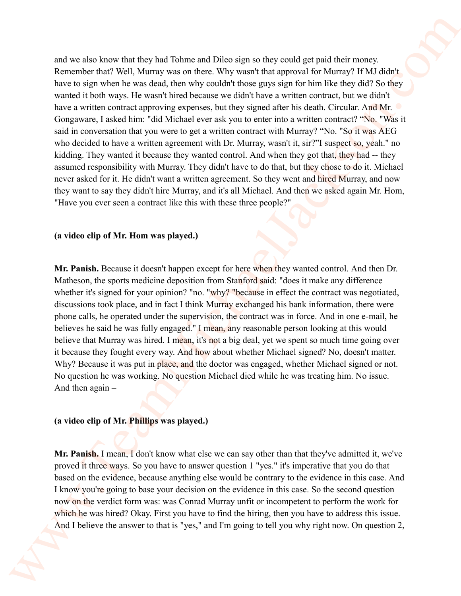and we also know that they had Tohme and Dileo sign so they could get paid their money. Remember that? Well, Murray was on there. Why wasn't that approval for Murray? If MJ didn't have to sign when he was dead, then why couldn't those guys sign for him like they did? So they wanted it both ways. He wasn't hired because we didn't have a written contract, but we didn't have a written contract approving expenses, but they signed after his death. Circular. And Mr. Gongaware, I asked him: "did Michael ever ask you to enter into a written contract? "No. "Was it said in conversation that you were to get a written contract with Murray? "No. "So it was AEG who decided to have a written agreement with Dr. Murray, wasn't it, sir?"I suspect so, yeah." no kidding. They wanted it because they wanted control. And when they got that, they had -- they assumed responsibility with Murray. They didn't have to do that, but they chose to do it. Michael never asked for it. He didn't want a written agreement. So they went and hired Murray, and now they want to say they didn't hire Murray, and it's all Michael. And then we asked again Mr. Hom, "Have you ever seen a contract like this with these three people?" and we also know that they had Tokme and Diba signs or they and get and their money<br>Remember that Wall Warray was more lines why consider that approach for Warray (FMA) distributes<br>for the second transformation of the sys

#### **(a video clip of Mr. Hom was played.)**

**Mr. Panish.** Because it doesn't happen except for here when they wanted control. And then Dr. Matheson, the sports medicine deposition from Stanford said: "does it make any difference whether it's signed for your opinion? "no. "why? "because in effect the contract was negotiated, discussions took place, and in fact I think Murray exchanged his bank information, there were phone calls, he operated under the supervision, the contract was in force. And in one e-mail, he believes he said he was fully engaged." I mean, any reasonable person looking at this would believe that Murray was hired. I mean, it's not a big deal, yet we spent so much time going over it because they fought every way. And how about whether Michael signed? No, doesn't matter. Why? Because it was put in place, and the doctor was engaged, whether Michael signed or not. No question he was working. No question Michael died while he was treating him. No issue. And then again –

## **(a video clip of Mr. Phillips was played.)**

**Mr. Panish.** I mean, I don't know what else we can say other than that they've admitted it, we've proved it three ways. So you have to answer question 1 "yes." it's imperative that you do that based on the evidence, because anything else would be contrary to the evidence in this case. And I know you're going to base your decision on the evidence in this case. So the second question now on the verdict form was: was Conrad Murray unfit or incompetent to perform the work for which he was hired? Okay. First you have to find the hiring, then you have to address this issue. And I believe the answer to that is "yes," and I'm going to tell you why right now. On question 2,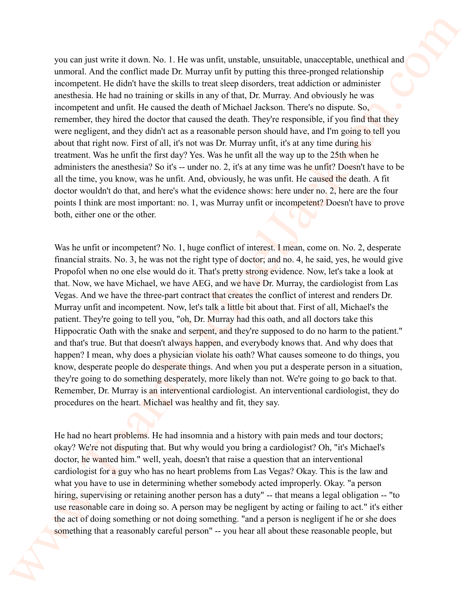you can just write it down. No. 1. He was unfit, unstable, unsuitable, unacceptable, unethical and unmoral. And the conflict made Dr. Murray unfit by putting this three-pronged relationship incompetent. He didn't have the skills to treat sleep disorders, treat addiction or administer anesthesia. He had no training or skills in any of that, Dr. Murray. And obviously he was incompetent and unfit. He caused the death of Michael Jackson. There's no dispute. So, remember, they hired the doctor that caused the death. They're responsible, if you find that they were negligent, and they didn't act as a reasonable person should have, and I'm going to tell you about that right now. First of all, it's not was Dr. Murray unfit, it's at any time during his treatment. Was he unfit the first day? Yes. Was he unfit all the way up to the 25th when he administers the anesthesia? So it's -- under no. 2, it's at any time was he unfit? Doesn't have to be all the time, you know, was he unfit. And, obviously, he was unfit. He caused the death. A fit doctor wouldn't do that, and here's what the evidence shows: here under no. 2, here are the four points I think are most important: no. 1, was Murray unfit or incompetent? Doesn't have to prove both, either one or the other. you can just write it down. No 1. He was unit, ustable, uswanishe, uswanigale, usebisai at more also increased Anticrea in the called anticlosure in the particular more precise to the comparison increase the called anticl

Was he unfit or incompetent? No. 1, huge conflict of interest. I mean, come on. No. 2, desperate financial straits. No. 3, he was not the right type of doctor; and no. 4, he said, yes, he would give Propofol when no one else would do it. That's pretty strong evidence. Now, let's take a look at that. Now, we have Michael, we have AEG, and we have Dr. Murray, the cardiologist from Las Vegas. And we have the three-part contract that creates the conflict of interest and renders Dr. Murray unfit and incompetent. Now, let's talk a little bit about that. First of all, Michael's the patient. They're going to tell you, "oh, Dr. Murray had this oath, and all doctors take this Hippocratic Oath with the snake and serpent, and they're supposed to do no harm to the patient." and that's true. But that doesn't always happen, and everybody knows that. And why does that happen? I mean, why does a physician violate his oath? What causes someone to do things, you know, desperate people do desperate things. And when you put a desperate person in a situation, they're going to do something desperately, more likely than not. We're going to go back to that. Remember, Dr. Murray is an interventional cardiologist. An interventional cardiologist, they do procedures on the heart. Michael was healthy and fit, they say.

He had no heart problems. He had insomnia and a history with pain meds and tour doctors; okay? We're not disputing that. But why would you bring a cardiologist? Oh, "it's Michael's doctor, he wanted him." well, yeah, doesn't that raise a question that an interventional cardiologist for a guy who has no heart problems from Las Vegas? Okay. This is the law and what you have to use in determining whether somebody acted improperly. Okay. "a person hiring, supervising or retaining another person has a duty" -- that means a legal obligation -- "to use reasonable care in doing so. A person may be negligent by acting or failing to act." it's either the act of doing something or not doing something. "and a person is negligent if he or she does something that a reasonably careful person" -- you hear all about these reasonable people, but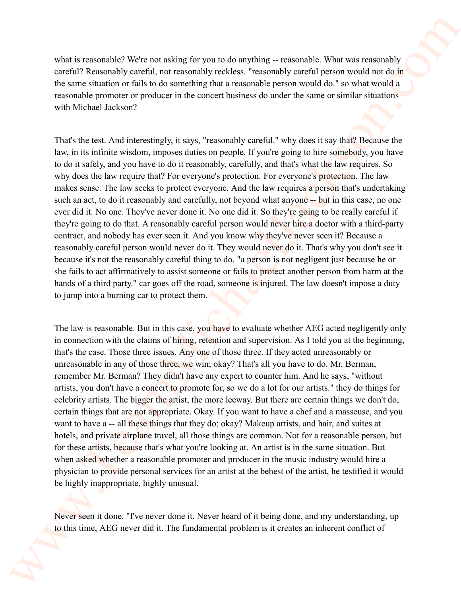what is reasonable? We're not asking for you to do anything -- reasonable. What was reasonably careful? Reasonably careful, not reasonably reckless. "reasonably careful person would not do in the same situation or fails to do something that a reasonable person would do." so what would a reasonable promoter or producer in the concert business do under the same or similar situations with Michael Jackson?

That's the test. And interestingly, it says, "reasonably careful." why does it say that? Because the law, in its infinite wisdom, imposes duties on people. If you're going to hire somebody, you have to do it safely, and you have to do it reasonably, carefully, and that's what the law requires. So why does the law require that? For everyone's protection. For everyone's protection. The law makes sense. The law seeks to protect everyone. And the law requires a person that's undertaking such an act, to do it reasonably and carefully, not beyond what anyone -- but in this case, no one ever did it. No one. They've never done it. No one did it. So they're going to be really careful if they're going to do that. A reasonably careful person would never hire a doctor with a third-party contract, and nobody has ever seen it. And you know why they've never seen it? Because a reasonably careful person would never do it. They would never do it. That's why you don't see it because it's not the reasonably careful thing to do. "a person is not negligent just because he or she fails to act affirmatively to assist someone or fails to protect another person from harm at the hands of a third party." car goes off the road, someone is injured. The law doesn't impose a duty to jump into a burning car to protect them. what is reasonable? We're not assing for you to do anying ... reasonable What was reasonably careful? Resume that the team of the same shall of the same shall of the same shall of the same shall of the same shall of the s

The law is reasonable. But in this case, you have to evaluate whether AEG acted negligently only in connection with the claims of hiring, retention and supervision. As I told you at the beginning, that's the case. Those three issues. Any one of those three. If they acted unreasonably or unreasonable in any of those three, we win; okay? That's all you have to do. Mr. Berman, remember Mr. Berman? They didn't have any expert to counter him. And he says, "without artists, you don't have a concert to promote for, so we do a lot for our artists." they do things for celebrity artists. The bigger the artist, the more leeway. But there are certain things we don't do, certain things that are not appropriate. Okay. If you want to have a chef and a masseuse, and you want to have a -- all these things that they do; okay? Makeup artists, and hair, and suites at hotels, and private airplane travel, all those things are common. Not for a reasonable person, but for these artists, because that's what you're looking at. An artist is in the same situation. But when asked whether a reasonable promoter and producer in the music industry would hire a physician to provide personal services for an artist at the behest of the artist, he testified it would be highly inappropriate, highly unusual.

Never seen it done. "I've never done it. Never heard of it being done, and my understanding, up to this time, AEG never did it. The fundamental problem is it creates an inherent conflict of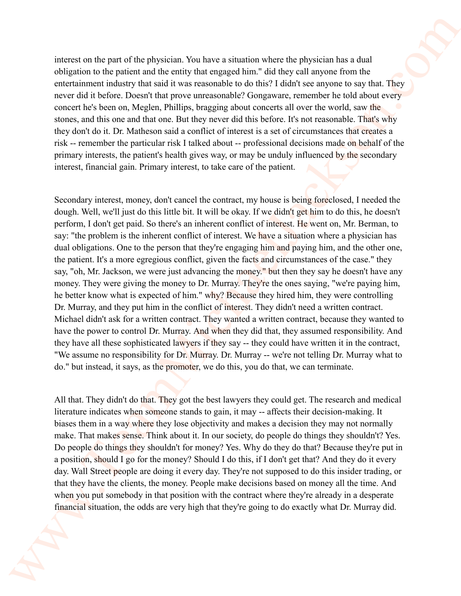interest on the part of the physician. You have a situation where the physician has a dual obligation to the patient and the entity that engaged him." did they call anyone from the entertainment industry that said it was reasonable to do this? I didn't see anyone to say that. They never did it before. Doesn't that prove unreasonable? Gongaware, remember he told about every concert he's been on, Meglen, Phillips, bragging about concerts all over the world, saw the stones, and this one and that one. But they never did this before. It's not reasonable. That's why they don't do it. Dr. Matheson said a conflict of interest is a set of circumstances that creates a risk -- remember the particular risk I talked about -- professional decisions made on behalf of the primary interests, the patient's health gives way, or may be unduly influenced by the secondary interest, financial gain. Primary interest, to take care of the patient.

Secondary interest, money, don't cancel the contract, my house is being foreclosed, I needed the dough. Well, we'll just do this little bit. It will be okay. If we didn't get him to do this, he doesn't perform, I don't get paid. So there's an inherent conflict of interest. He went on, Mr. Berman, to say: "the problem is the inherent conflict of interest. We have a situation where a physician has dual obligations. One to the person that they're engaging him and paying him, and the other one, the patient. It's a more egregious conflict, given the facts and circumstances of the case." they say, "oh, Mr. Jackson, we were just advancing the money." but then they say he doesn't have any money. They were giving the money to Dr. Murray. They're the ones saying, "we're paying him, he better know what is expected of him." why? Because they hired him, they were controlling Dr. Murray, and they put him in the conflict of interest. They didn't need a written contract. Michael didn't ask for a written contract. They wanted a written contract, because they wanted to have the power to control Dr. Murray. And when they did that, they assumed responsibility. And they have all these sophisticated lawyers if they say -- they could have written it in the contract, "We assume no responsibility for Dr. Murray. Dr. Murray -- we're not telling Dr. Murray what to do." but instead, it says, as the promoter, we do this, you do that, we can terminate. whereas on the per notific physician. You have a stuatent where the physician has a dual obligation in the pairs of the three in the three in the three planes in the three planes in the latter of the pairs in the control

All that. They didn't do that. They got the best lawyers they could get. The research and medical literature indicates when someone stands to gain, it may -- affects their decision-making. It biases them in a way where they lose objectivity and makes a decision they may not normally make. That makes sense. Think about it. In our society, do people do things they shouldn't? Yes. Do people do things they shouldn't for money? Yes. Why do they do that? Because they're put in a position, should I go for the money? Should I do this, if I don't get that? And they do it every day. Wall Street people are doing it every day. They're not supposed to do this insider trading, or that they have the clients, the money. People make decisions based on money all the time. And when you put somebody in that position with the contract where they're already in a desperate financial situation, the odds are very high that they're going to do exactly what Dr. Murray did.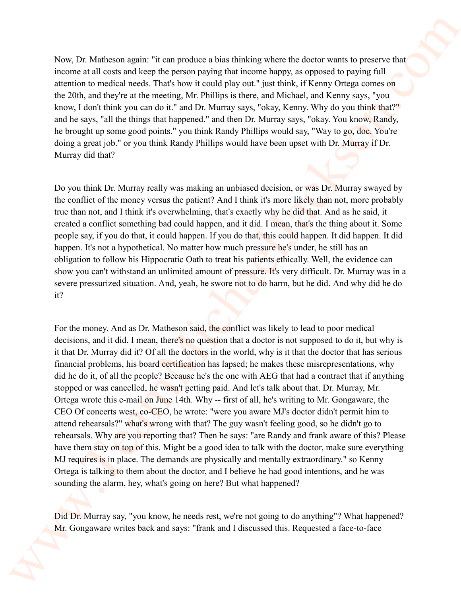Now, Dr. Matheson again: "it can produce a bias thinking where the doctor wants to preserve that income at all costs and keep the person paying that income happy, as opposed to paying full attention to medical needs. That's how it could play out." just think, if Kenny Ortega comes on the 20th, and they're at the meeting, Mr. Phillips is there, and Michael, and Kenny says, "you know, I don't think you can do it." and Dr. Murray says, "okay, Kenny. Why do you think that?" and he says, "all the things that happened." and then Dr. Murray says, "okay. You know, Randy, he brought up some good points." you think Randy Phillips would say, "Way to go, doc. You're doing a great job." or you think Randy Phillips would have been upset with Dr. Murray if Dr. Murray did that?

Do you think Dr. Murray really was making an unbiased decision, or was Dr. Murray swayed by the conflict of the money versus the patient? And I think it's more likely than not, more probably true than not, and I think it's overwhelming, that's exactly why he did that. And as he said, it created a conflict something bad could happen, and it did. I mean, that's the thing about it. Some people say, if you do that, it could happen. If you do that, this could happen. It did happen. It did happen. It's not a hypothetical. No matter how much pressure he's under, he still has an obligation to follow his Hippocratic Oath to treat his patients ethically. Well, the evidence can show you can't withstand an unlimited amount of pressure. It's very difficult. Dr. Murray was in a severe pressurized situation. And, yeah, he swore not to do harm, but he did. And why did he do it?

For the money. And as Dr. Matheson said, the conflict was likely to lead to poor medical decisions, and it did. I mean, there's no question that a doctor is not supposed to do it, but why is it that Dr. Murray did it? Of all the doctors in the world, why is it that the doctor that has serious financial problems, his board certification has lapsed; he makes these misrepresentations, why did he do it, of all the people? Because he's the one with AEG that had a contract that if anything stopped or was cancelled, he wasn't getting paid. And let's talk about that. Dr. Murray, Mr. Ortega wrote this e-mail on June 14th. Why -- first of all, he's writing to Mr. Gongaware, the CEO Of concerts west, co-CEO, he wrote: "were you aware MJ's doctor didn't permit him to attend rehearsals?" what's wrong with that? The guy wasn't feeling good, so he didn't go to rehearsals. Why are you reporting that? Then he says: "are Randy and frank aware of this? Please have them stay on top of this. Might be a good idea to talk with the doctor, make sure everything MJ requires is in place. The demands are physically and mentally extraordinary." so Kenny Ortega is talking to them about the doctor, and I believe he had good intentions, and he was sounding the alarm, hey, what's going on here? But what happened? Now, Dr. Matheava agains "at can arredoce is bins thin linking where the doctor worth is preserve that<br>measures at lowes and lowes the preservativity for at measure date), so optional to project the preservative of<br>the so

Did Dr. Murray say, "you know, he needs rest, we're not going to do anything"? What happened? Mr. Gongaware writes back and says: "frank and I discussed this. Requested a face-to-face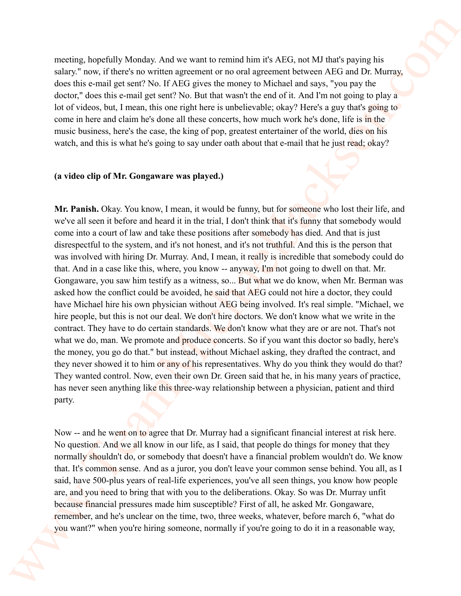meeting, hopefully Monday. And we want to remind him it's AEG, not MJ that's paying his salary." now, if there's no written agreement or no oral agreement between AEG and Dr. Murray, does this e-mail get sent? No. If AEG gives the money to Michael and says, "you pay the doctor," does this e-mail get sent? No. But that wasn't the end of it. And I'm not going to play a lot of videos, but, I mean, this one right here is unbelievable; okay? Here's a guy that's going to come in here and claim he's done all these concerts, how much work he's done, life is in the music business, here's the case, the king of pop, greatest entertainer of the world, dies on his watch, and this is what he's going to say under oath about that e-mail that he just read; okay?

#### **(a video clip of Mr. Gongaware was played.)**

**Mr. Panish.** Okay. You know, I mean, it would be funny, but for someone who lost their life, and we've all seen it before and heard it in the trial, I don't think that it's funny that somebody would come into a court of law and take these positions after somebody has died. And that is just disrespectful to the system, and it's not honest, and it's not truthful. And this is the person that was involved with hiring Dr. Murray. And, I mean, it really is incredible that somebody could do that. And in a case like this, where, you know -- anyway, I'm not going to dwell on that. Mr. Gongaware, you saw him testify as a witness, so... But what we do know, when Mr. Berman was asked how the conflict could be avoided, he said that AEG could not hire a doctor, they could have Michael hire his own physician without AEG being involved. It's real simple. "Michael, we hire people, but this is not our deal. We don't hire doctors. We don't know what we write in the contract. They have to do certain standards. We don't know what they are or are not. That's not what we do, man. We promote and produce concerts. So if you want this doctor so badly, here's the money, you go do that." but instead, without Michael asking, they drafted the contract, and they never showed it to him or any of his representatives. Why do you think they would do that? They wanted control. Now, even their own Dr. Green said that he, in his many years of practice, has never seen anything like this three-way relationship between a physician, patient and third party. meeting. Expedially Monday. And we want to mental ten it is ATZ, and MJ that's paying Fix salary<br>States (now, the metal system and general ten in the control of the system (NGT and DNT is a state of the system of the syst

Now -- and he went on to agree that Dr. Murray had a significant financial interest at risk here. No question. And we all know in our life, as I said, that people do things for money that they normally shouldn't do, or somebody that doesn't have a financial problem wouldn't do. We know that. It's common sense. And as a juror, you don't leave your common sense behind. You all, as I said, have 500-plus years of real-life experiences, you've all seen things, you know how people are, and you need to bring that with you to the deliberations. Okay. So was Dr. Murray unfit because financial pressures made him susceptible? First of all, he asked Mr. Gongaware, remember, and he's unclear on the time, two, three weeks, whatever, before march 6, "what do you want?" when you're hiring someone, normally if you're going to do it in a reasonable way,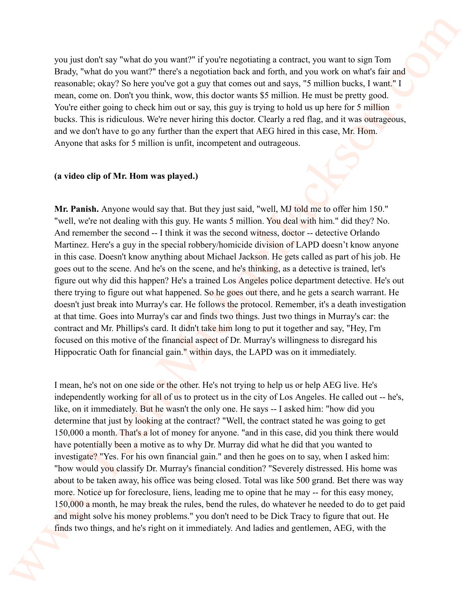you just don't say "what do you want?" if you're negotiating a contract, you want to sign Tom Brady, "what do you want?" there's a negotiation back and forth, and you work on what's fair and reasonable; okay? So here you've got a guy that comes out and says, "5 million bucks, I want." I mean, come on. Don't you think, wow, this doctor wants \$5 million. He must be pretty good. You're either going to check him out or say, this guy is trying to hold us up here for 5 million bucks. This is ridiculous. We're never hiring this doctor. Clearly a red flag, and it was outrageous, and we don't have to go any further than the expert that AEG hired in this case, Mr. Hom. Anyone that asks for 5 million is unfit, incompetent and outrageous.

#### **(a video clip of Mr. Hom was played.)**

**Mr. Panish.** Anyone would say that. But they just said, "well, MJ told me to offer him 150." "well, we're not dealing with this guy. He wants 5 million. You deal with him." did they? No. And remember the second -- I think it was the second witness, doctor -- detective Orlando Martinez. Here's a guy in the special robbery/homicide division of LAPD doesn't know anyone in this case. Doesn't know anything about Michael Jackson. He gets called as part of his job. He goes out to the scene. And he's on the scene, and he's thinking, as a detective is trained, let's figure out why did this happen? He's a trained Los Angeles police department detective. He's out there trying to figure out what happened. So he goes out there, and he gets a search warrant. He doesn't just break into Murray's car. He follows the protocol. Remember, it's a death investigation at that time. Goes into Murray's car and finds two things. Just two things in Murray's car: the contract and Mr. Phillips's card. It didn't take him long to put it together and say, "Hey, I'm focused on this motive of the financial aspect of Dr. Murray's willingness to disregard his Hippocratic Oath for financial gain." within days, the LAPD was on it immediately. you just down say "what do you want?" if you're nagricainty a contract, you want to sign Tom<br>
Tracks, Section 1998 when the set and the same of the state and the set and you want to sign Tom<br>
reacondist, may be simple and

I mean, he's not on one side or the other. He's not trying to help us or help AEG live. He's independently working for all of us to protect us in the city of Los Angeles. He called out -- he's, like, on it immediately. But he wasn't the only one. He says -- I asked him: "how did you determine that just by looking at the contract? "Well, the contract stated he was going to get 150,000 a month. That's a lot of money for anyone. "and in this case, did you think there would have potentially been a motive as to why Dr. Murray did what he did that you wanted to investigate? "Yes. For his own financial gain." and then he goes on to say, when I asked him: "how would you classify Dr. Murray's financial condition? "Severely distressed. His home was about to be taken away, his office was being closed. Total was like 500 grand. Bet there was way more. Notice up for foreclosure, liens, leading me to opine that he may -- for this easy money, 150,000 a month, he may break the rules, bend the rules, do whatever he needed to do to get paid and might solve his money problems." you don't need to be Dick Tracy to figure that out. He finds two things, and he's right on it immediately. And ladies and gentlemen, AEG, with the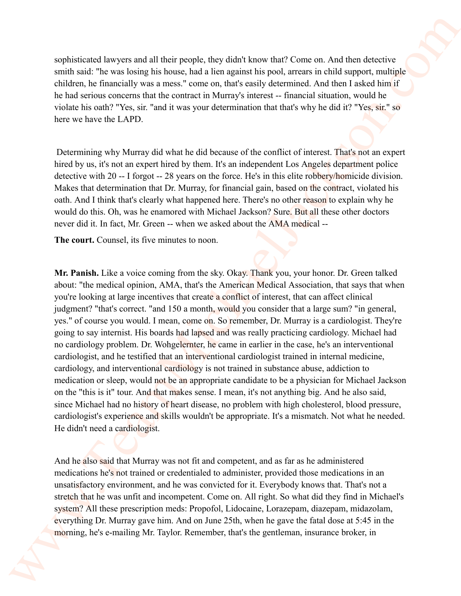sophisticated lawyers and all their people, they didn't know that? Come on. And then detective smith said: "he was losing his house, had a lien against his pool, arrears in child support, multiple children, he financially was a mess." come on, that's easily determined. And then I asked him if he had serious concerns that the contract in Murray's interest -- financial situation, would he violate his oath? "Yes, sir. "and it was your determination that that's why he did it? "Yes, sir." so here we have the LAPD.

 Determining why Murray did what he did because of the conflict of interest. That's not an expert hired by us, it's not an expert hired by them. It's an independent Los Angeles department police detective with 20 -- I forgot -- 28 years on the force. He's in this elite robbery/homicide division. Makes that determination that Dr. Murray, for financial gain, based on the contract, violated his oath. And I think that's clearly what happened here. There's no other reason to explain why he would do this. Oh, was he enamored with Michael Jackson? Sure. But all these other doctors never did it. In fact, Mr. Green -- when we asked about the AMA medical --

**The court.** Counsel, its five minutes to noon.

**Mr. Panish.** Like a voice coming from the sky. Okay. Thank you, your honor. Dr. Green talked about: "the medical opinion, AMA, that's the American Medical Association, that says that when you're looking at large incentives that create a conflict of interest, that can affect clinical judgment? "that's correct. "and 150 a month, would you consider that a large sum? "in general, yes." of course you would. I mean, come on. So remember, Dr. Murray is a cardiologist. They're going to say internist. His boards had lapsed and was really practicing cardiology. Michael had no cardiology problem. Dr. Wohgelernter, he came in earlier in the case, he's an interventional cardiologist, and he testified that an interventional cardiologist trained in internal medicine, cardiology, and interventional cardiology is not trained in substance abuse, addiction to medication or sleep, would not be an appropriate candidate to be a physician for Michael Jackson on the "this is it" tour. And that makes sense. I mean, it's not anything big. And he also said, since Michael had no history of heart disease, no problem with high cholesterol, blood pressure, cardiologist's experience and skills wouldn't be appropriate. It's a mismatch. Not what he needed. He didn't need a cardiologist. superiodicated horsests and all their propin, they didn't know that' Core on. And then describes small and "the one host age in both galacted by the line age in the lag of the state of the state of the state of the state

And he also said that Murray was not fit and competent, and as far as he administered medications he's not trained or credentialed to administer, provided those medications in an unsatisfactory environment, and he was convicted for it. Everybody knows that. That's not a stretch that he was unfit and incompetent. Come on. All right. So what did they find in Michael's system? All these prescription meds: Propofol, Lidocaine, Lorazepam, diazepam, midazolam, everything Dr. Murray gave him. And on June 25th, when he gave the fatal dose at 5:45 in the morning, he's e-mailing Mr. Taylor. Remember, that's the gentleman, insurance broker, in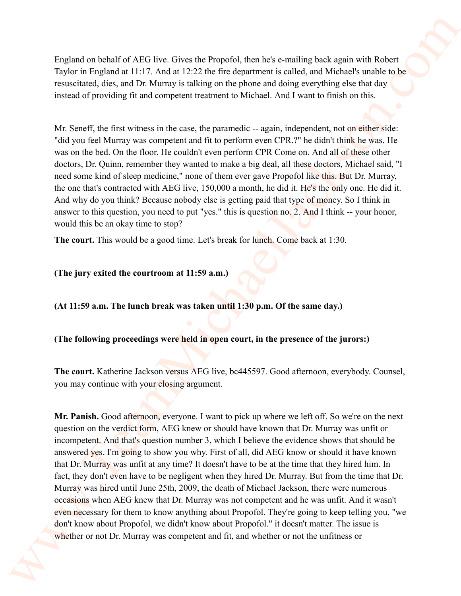England on behalf of AEG live. Gives the Propofol, then he's e-mailing back again with Robert Taylor in England at 11:17. And at 12:22 the fire department is called, and Michael's unable to be resuscitated, dies, and Dr. Murray is talking on the phone and doing everything else that day instead of providing fit and competent treatment to Michael. And I want to finish on this.

Mr. Seneff, the first witness in the case, the paramedic -- again, independent, not on either side: "did you feel Murray was competent and fit to perform even CPR.?" he didn't think he was. He was on the bed. On the floor. He couldn't even perform CPR Come on. And all of these other doctors, Dr. Quinn, remember they wanted to make a big deal, all these doctors, Michael said, "I need some kind of sleep medicine," none of them ever gave Propofol like this. But Dr. Murray, the one that's contracted with AEG live, 150,000 a month, he did it. He's the only one. He did it. And why do you think? Because nobody else is getting paid that type of money. So I think in answer to this question, you need to put "yes." this is question no. 2. And I think -- your honor, would this be an okay time to stop?

**The court.** This would be a good time. Let's break for lunch. Come back at 1:30.

# **(The jury exited the courtroom at 11:59 a.m.)**

**(At 11:59 a.m. The lunch break was taken until 1:30 p.m. Of the same day.)**

# **(The following proceedings were held in open court, in the presence of the jurors:)**

**The court.** Katherine Jackson versus AEG live, bc445597. Good afternoon, everybody. Counsel, you may continue with your closing argument.

**Mr. Panish.** Good afternoon, everyone. I want to pick up where we left off. So we're on the next question on the verdict form, AEG knew or should have known that Dr. Murray was unfit or incompetent. And that's question number 3, which I believe the evidence shows that should be answered yes. I'm going to show you why. First of all, did AEG know or should it have known that Dr. Murray was unfit at any time? It doesn't have to be at the time that they hired him. In fact, they don't even have to be negligent when they hired Dr. Murray. But from the time that Dr. Murray was hired until June 25th, 2009, the death of Michael Jackson, there were numerous occasions when AEG knew that Dr. Murray was not competent and he was unfit. And it wasn't even necessary for them to know anything about Propofol. They're going to keep telling you, "we don't know about Propofol, we didn't know about Propofol." it doesn't matter. The issue is whether or not Dr. Murray was competent and fit, and whether or not the unfitness or Tagland on behalf of ATG live Glose the Poppolis) then he's e-mailing back again with Robert Tagland and a statistic structure in calcular and behalf structure in the statistic structure in the statistic structure in the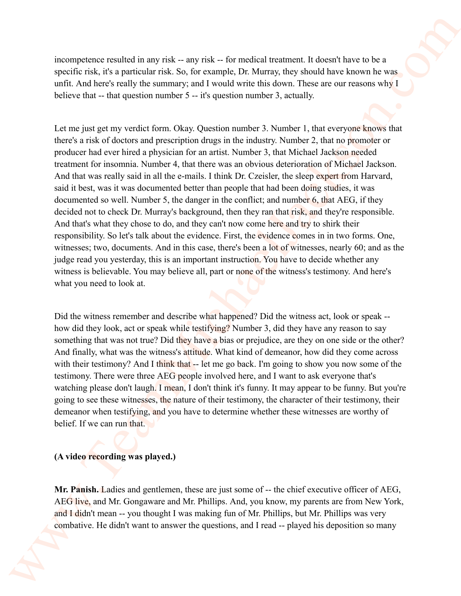incompetence resulted in any risk -- any risk -- for medical treatment. It doesn't have to be a specific risk, it's a particular risk. So, for example, Dr. Murray, they should have known he was unfit. And here's really the summary; and I would write this down. These are our reasons why I believe that -- that question number 5 -- it's question number 3, actually.

Let me just get my verdict form. Okay. Question number 3. Number 1, that everyone knows that there's a risk of doctors and prescription drugs in the industry. Number 2, that no promoter or producer had ever hired a physician for an artist. Number 3, that Michael Jackson needed treatment for insomnia. Number 4, that there was an obvious deterioration of Michael Jackson. And that was really said in all the e-mails. I think Dr. Czeisler, the sleep expert from Harvard, said it best, was it was documented better than people that had been doing studies, it was documented so well. Number 5, the danger in the conflict; and number 6, that AEG, if they decided not to check Dr. Murray's background, then they ran that risk, and they're responsible. And that's what they chose to do, and they can't now come here and try to shirk their responsibility. So let's talk about the evidence. First, the evidence comes in in two forms. One, witnesses; two, documents. And in this case, there's been a lot of witnesses, nearly 60; and as the judge read you yesterday, this is an important instruction. You have to decide whether any witness is believable. You may believe all, part or none of the witness's testimony. And here's what you need to look at. whenever excelled in any risk --ray risk --five medical treatment. It describes the system space of the system of the Michael Hackman (and the setteration is expected to the system of the system of the system of the syste

Did the witness remember and describe what happened? Did the witness act, look or speak - how did they look, act or speak while testifying? Number 3, did they have any reason to say something that was not true? Did they have a bias or prejudice, are they on one side or the other? And finally, what was the witness's attitude. What kind of demeanor, how did they come across with their testimony? And I think that -- let me go back. I'm going to show you now some of the testimony. There were three AEG people involved here, and I want to ask everyone that's watching please don't laugh. I mean, I don't think it's funny. It may appear to be funny. But you're going to see these witnesses, the nature of their testimony, the character of their testimony, their demeanor when testifying, and you have to determine whether these witnesses are worthy of belief. If we can run that.

# **(A video recording was played.)**

**Mr. Panish.** Ladies and gentlemen, these are just some of -- the chief executive officer of AEG, AEG live, and Mr. Gongaware and Mr. Phillips. And, you know, my parents are from New York, and I didn't mean -- you thought I was making fun of Mr. Phillips, but Mr. Phillips was very combative. He didn't want to answer the questions, and I read -- played his deposition so many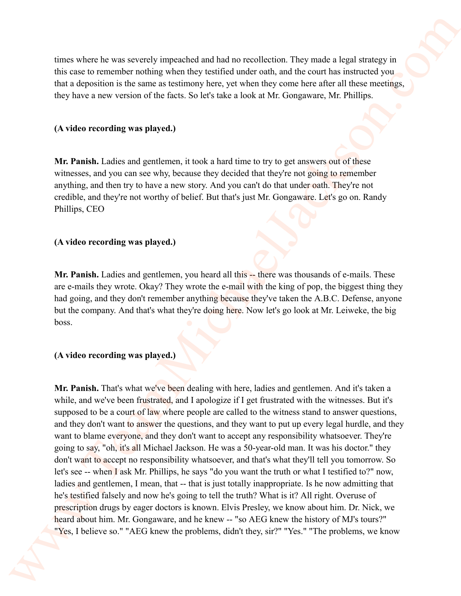times where he was severely impeached and had no recollection. They made a legal strategy in this case to remember nothing when they testified under oath, and the court has instructed you that a deposition is the same as testimony here, yet when they come here after all these meetings, they have a new version of the facts. So let's take a look at Mr. Gongaware, Mr. Phillips.

## **(A video recording was played.)**

**Mr. Panish.** Ladies and gentlemen, it took a hard time to try to get answers out of these witnesses, and you can see why, because they decided that they're not going to remember anything, and then try to have a new story. And you can't do that under oath. They're not credible, and they're not worthy of belief. But that's just Mr. Gongaware. Let's go on. Randy Phillips, CEO

## **(A video recording was played.)**

Mr. Panish. Ladies and gentlemen, you heard all this -- there was thousands of e-mails. These are e-mails they wrote. Okay? They wrote the e-mail with the king of pop, the biggest thing they had going, and they don't remember anything because they've taken the A.B.C. Defense, anyone but the company. And that's what they're doing here. Now let's go look at Mr. Leiweke, the big boss.

#### **(A video recording was played.)**

**Mr. Panish.** That's what we've been dealing with here, ladies and gentlemen. And it's taken a while, and we've been frustrated, and I apologize if I get frustrated with the witnesses. But it's supposed to be a court of law where people are called to the witness stand to answer questions, and they don't want to answer the questions, and they want to put up every legal hurdle, and they want to blame everyone, and they don't want to accept any responsibility whatsoever. They're going to say, "oh, it's all Michael Jackson. He was a 50-year-old man. It was his doctor." they don't want to accept no responsibility whatsoever, and that's what they'll tell you tomorrow. So let's see -- when I ask Mr. Phillips, he says "do you want the truth or what I testified to?" now, ladies and gentlemen, I mean, that -- that is just totally inappropriate. Is he now admitting that he's testified falsely and now he's going to tell the truth? What is it? All right. Overuse of prescription drugs by eager doctors is known. Elvis Presley, we know about him. Dr. Nick, we heard about him. Mr. Gongaware, and he knew -- "so AEG knew the history of MJ's tours?" "Yes, I believe so." "AEG knew the problems, didn't they, sir?" "Yes." "The problems, we know rives where he was secondly impedibed and had no recollection. They would a lagal distange in<br>this case to memoric would be the secondly three states and and the control test commented your properties.<br>They have a new ver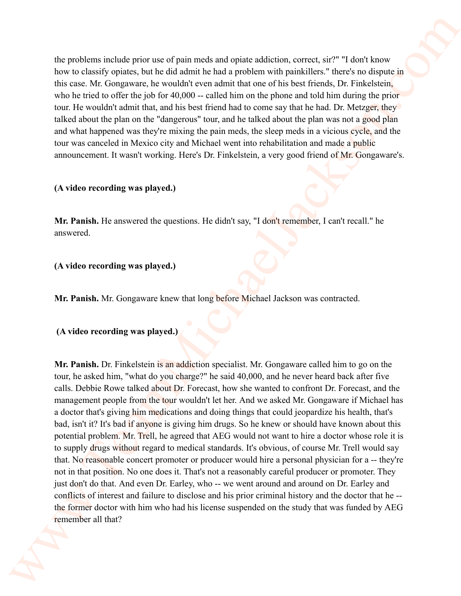the problems include prior use of pain meds and opiate addiction, correct, sir?" "I don't know how to classify opiates, but he did admit he had a problem with painkillers." there's no dispute in this case. Mr. Gongaware, he wouldn't even admit that one of his best friends, Dr. Finkelstein, who he tried to offer the job for 40,000 -- called him on the phone and told him during the prior tour. He wouldn't admit that, and his best friend had to come say that he had. Dr. Metzger, they talked about the plan on the "dangerous" tour, and he talked about the plan was not a good plan and what happened was they're mixing the pain meds, the sleep meds in a vicious cycle, and the tour was canceled in Mexico city and Michael went into rehabilitation and made a public announcement. It wasn't working. Here's Dr. Finkelstein, a very good friend of Mr. Gongaware's.

## **(A video recording was played.)**

**Mr. Panish.** He answered the questions. He didn't say, "I don't remember, I can't recall." he answered.

**(A video recording was played.)** 

**Mr. Panish.** Mr. Gongaware knew that long before Michael Jackson was contracted.

## **(A video recording was played.)**

**Mr. Panish.** Dr. Finkelstein is an addiction specialist. Mr. Gongaware called him to go on the tour, he asked him, "what do you charge?" he said 40,000, and he never heard back after five calls. Debbie Rowe talked about Dr. Forecast, how she wanted to confront Dr. Forecast, and the management people from the tour wouldn't let her. And we asked Mr. Gongaware if Michael has a doctor that's giving him medications and doing things that could jeopardize his health, that's bad, isn't it? It's bad if anyone is giving him drugs. So he knew or should have known about this potential problem. Mr. Trell, he agreed that AEG would not want to hire a doctor whose role it is to supply drugs without regard to medical standards. It's obvious, of course Mr. Trell would say that. No reasonable concert promoter or producer would hire a personal physician for a -- they're not in that position. No one does it. That's not a reasonably careful producer or promoter. They just don't do that. And even Dr. Earley, who -- we went around and around on Dr. Earley and conflicts of interest and failure to disclose and his prior criminal history and the doctor that he - the former doctor with him who had his license suspended on the study that was funded by AEG remember all that? the problems include prior (see draint method and coint addition), correct, see "F derivations in the see M. Congresse, by something the main lead a problem behavior from the fit and the set of the set of the set of the s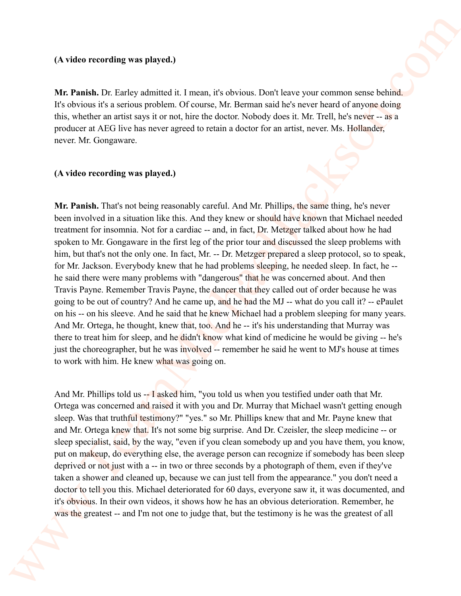#### **(A video recording was played.)**

**Mr. Panish.** Dr. Earley admitted it. I mean, it's obvious. Don't leave your common sense behind. It's obvious it's a serious problem. Of course, Mr. Berman said he's never heard of anyone doing this, whether an artist says it or not, hire the doctor. Nobody does it. Mr. Trell, he's never -- as a producer at AEG live has never agreed to retain a doctor for an artist, never. Ms. Hollander, never. Mr. Gongaware.

# **(A video recording was played.)**

**Mr. Panish.** That's not being reasonably careful. And Mr. Phillips, the same thing, he's never been involved in a situation like this. And they knew or should have known that Michael needed treatment for insomnia. Not for a cardiac -- and, in fact, Dr. Metzger talked about how he had spoken to Mr. Gongaware in the first leg of the prior tour and discussed the sleep problems with him, but that's not the only one. In fact, Mr. -- Dr. Metzger prepared a sleep protocol, so to speak, for Mr. Jackson. Everybody knew that he had problems sleeping, he needed sleep. In fact, he - he said there were many problems with "dangerous" that he was concerned about. And then Travis Payne. Remember Travis Payne, the dancer that they called out of order because he was going to be out of country? And he came up, and he had the MJ -- what do you call it? -- ePaulet on his -- on his sleeve. And he said that he knew Michael had a problem sleeping for many years. And Mr. Ortega, he thought, knew that, too. And he -- it's his understanding that Murray was there to treat him for sleep, and he didn't know what kind of medicine he would be giving -- he's just the choreographer, but he was involved— remember he said he went to MJ's house at times to work with him. He knew what was going on. (A video recombing was played),<br>
Wr. Panish. Dr. larging entroided a 1 recont of colorisms. Durities<br>are protocomerical relatively about the coloristic photon of the coloristic<br>solution of the system of the system of the

And Mr. Phillips told us -- I asked him, "you told us when you testified under oath that Mr. Ortega was concerned and raised it with you and Dr. Murray that Michael wasn't getting enough sleep. Was that truthful testimony?" "yes." so Mr. Phillips knew that and Mr. Payne knew that and Mr. Ortega knew that. It's not some big surprise. And Dr. Czeisler, the sleep medicine -- or sleep specialist, said, by the way, "even if you clean somebody up and you have them, you know, put on makeup, do everything else, the average person can recognize if somebody has been sleep deprived or not just with a -- in two or three seconds by a photograph of them, even if they've taken a shower and cleaned up, because we can just tell from the appearance." you don't need a doctor to tell you this. Michael deteriorated for 60 days, everyone saw it, it was documented, and it's obvious. In their own videos, it shows how he has an obvious deterioration. Remember, he was the greatest -- and I'm not one to judge that, but the testimony is he was the greatest of all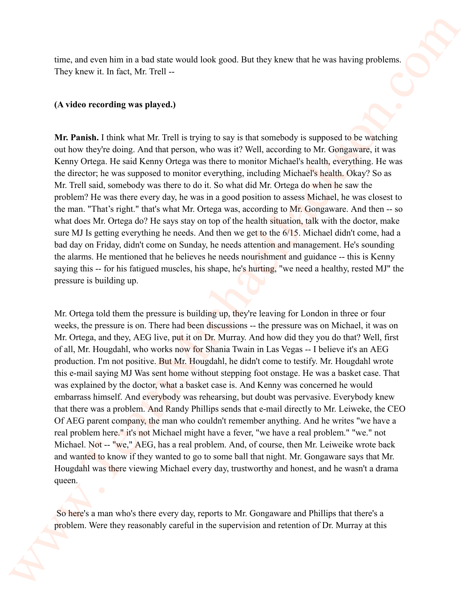time, and even him in a bad state would look good. But they knew that he was having problems. They knew it. In fact, Mr. Trell --

## **(A video recording was played.)**

**Mr. Panish.** I think what Mr. Trell is trying to say is that somebody is supposed to be watching out how they're doing. And that person, who was it? Well, according to Mr. Gongaware, it was Kenny Ortega. He said Kenny Ortega was there to monitor Michael's health, everything. He was the director; he was supposed to monitor everything, including Michael's health. Okay? So as Mr. Trell said, somebody was there to do it. So what did Mr. Ortega do when he saw the problem? He was there every day, he was in a good position to assess Michael, he was closest to the man. "That's right." that's what Mr. Ortega was, according to Mr. Gongaware. And then -- so what does Mr. Ortega do? He says stay on top of the health situation, talk with the doctor, make sure MJ Is getting everything he needs. And then we get to the 6/15. Michael didn't come, had a bad day on Friday, didn't come on Sunday, he needs attention and management. He's sounding the alarms. He mentioned that he believes he needs nourishment and guidance -- this is Kenny saying this -- for his fatigued muscles, his shape, he's hurting, "we need a healthy, rested MJ" the pressure is building up.

Mr. Ortega told them the pressure is building up, they're leaving for London in three or four weeks, the pressure is on. There had been discussions -- the pressure was on Michael, it was on Mr. Ortega, and they, AEG live, put it on Dr. Murray. And how did they you do that? Well, first of all, Mr. Hougdahl, who works now for Shania Twain in Las Vegas -- I believe it's an AEG production. I'm not positive. But Mr. Hougdahl, he didn't come to testify. Mr. Hougdahl wrote this e-mail saying MJ Was sent home without stepping foot onstage. He was a basket case. That was explained by the doctor, what a basket case is. And Kenny was concerned he would embarrass himself. And everybody was rehearsing, but doubt was pervasive. Everybody knew that there was a problem. And Randy Phillips sends that e-mail directly to Mr. Leiweke, the CEO Of AEG parent company, the man who couldn't remember anything. And he writes "we have a real problem here." it's not Michael might have a fever, "we have a real problem." "we." not Michael. Not -- "we," AEG, has a real problem. And, of course, then Mr. Leiweike wrote back and wanted to know if they wanted to go to some ball that night. Mr. Gongaware says that Mr. Hougdahl was there viewing Michael every day, trustworthy and honest, and he wasn't a drama queen. rize, and even hen in a had state would look good. But they know that was having problems.<br>They know it in lack, Mr. Teall ...<br>
(A video recording was physed),<br>
We Point in Links in Eq. (Mr. Teall ...)<br>
We Point in Links

 So here's a man who's there every day, reports to Mr. Gongaware and Phillips that there's a problem. Were they reasonably careful in the supervision and retention of Dr. Murray at this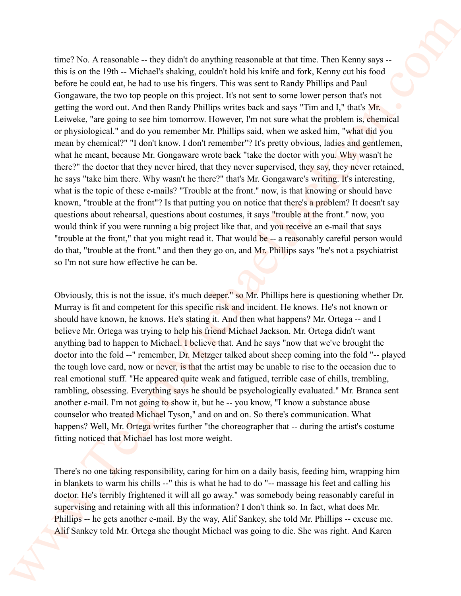time? No. A reasonable -- they didn't do anything reasonable at that time. Then Kenny says -this is on the 19th -- Michael's shaking, couldn't hold his knife and fork, Kenny cut his food before he could eat, he had to use his fingers. This was sent to Randy Phillips and Paul Gongaware, the two top people on this project. It's not sent to some lower person that's not getting the word out. And then Randy Phillips writes back and says "Tim and I," that's Mr. Leiweke, "are going to see him tomorrow. However, I'm not sure what the problem is, chemical or physiological." and do you remember Mr. Phillips said, when we asked him, "what did you mean by chemical?" "I don't know. I don't remember"? It's pretty obvious, ladies and gentlemen, what he meant, because Mr. Gongaware wrote back "take the doctor with you. Why wasn't he there?" the doctor that they never hired, that they never supervised, they say, they never retained, he says "take him there. Why wasn't he there?" that's Mr. Gongaware's writing. It's interesting, what is the topic of these e-mails? "Trouble at the front." now, is that knowing or should have known, "trouble at the front"? Is that putting you on notice that there's a problem? It doesn't say questions about rehearsal, questions about costumes, it says "trouble at the front." now, you would think if you were running a big project like that, and you receive an e-mail that says "trouble at the front," that you might read it. That would be -- a reasonably careful person would do that, "trouble at the front." and then they go on, and Mr. Phillips says "he's not a psychiatrist so I'm not sure how effective he can be. rize P No. A reasonable – they dish't do anything resustantle at that time. Then Kenny anything the two match is the result of the result of the forest of the kenny of the state of the state of the state of the state of t

Obviously, this is not the issue, it's much deeper." so Mr. Phillips here is questioning whether Dr. Murray is fit and competent for this specific risk and incident. He knows. He's not known or should have known, he knows. He's stating it. And then what happens? Mr. Ortega -- and I believe Mr. Ortega was trying to help his friend Michael Jackson. Mr. Ortega didn't want anything bad to happen to Michael. I believe that. And he says "now that we've brought the doctor into the fold --" remember, Dr. Metzger talked about sheep coming into the fold "-- played the tough love card, now or never, is that the artist may be unable to rise to the occasion due to real emotional stuff. "He appeared quite weak and fatigued, terrible case of chills, trembling, rambling, obsessing. Everything says he should be psychologically evaluated." Mr. Branca sent another e-mail. I'm not going to show it, but he -- you know, "I know a substance abuse counselor who treated Michael Tyson," and on and on. So there's communication. What happens? Well, Mr. Ortega writes further "the choreographer that -- during the artist's costume fitting noticed that Michael has lost more weight.

There's no one taking responsibility, caring for him on a daily basis, feeding him, wrapping him in blankets to warm his chills --" this is what he had to do "-- massage his feet and calling his doctor. He's terribly frightened it will all go away." was somebody being reasonably careful in supervising and retaining with all this information? I don't think so. In fact, what does Mr. Phillips -- he gets another e-mail. By the way, Alif Sankey, she told Mr. Phillips -- excuse me. Alif Sankey told Mr. Ortega she thought Michael was going to die. She was right. And Karen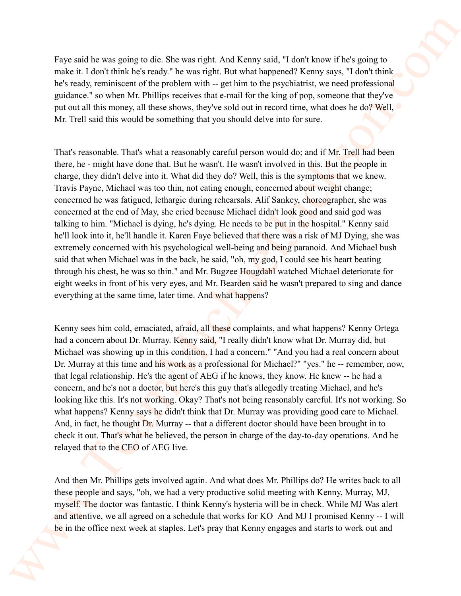Faye said he was going to die. She was right. And Kenny said, "I don't know if he's going to make it. I don't think he's ready." he was right. But what happened? Kenny says, "I don't think he's ready, reminiscent of the problem with -- get him to the psychiatrist, we need professional guidance." so when Mr. Phillips receives that e-mail for the king of pop, someone that they've put out all this money, all these shows, they've sold out in record time, what does he do? Well, Mr. Trell said this would be something that you should delve into for sure.

That's reasonable. That's what a reasonably careful person would do; and if Mr. Trell had been there, he - might have done that. But he wasn't. He wasn't involved in this. But the people in charge, they didn't delve into it. What did they do? Well, this is the symptoms that we knew. Travis Payne, Michael was too thin, not eating enough, concerned about weight change; concerned he was fatigued, lethargic during rehearsals. Alif Sankey, choreographer, she was concerned at the end of May, she cried because Michael didn't look good and said god was talking to him. "Michael is dying, he's dying. He needs to be put in the hospital." Kenny said he'll look into it, he'll handle it. Karen Faye believed that there was a risk of MJ Dying, she was extremely concerned with his psychological well-being and being paranoid. And Michael bush said that when Michael was in the back, he said, "oh, my god, I could see his heart beating through his chest, he was so thin." and Mr. Bugzee Hougdahl watched Michael deteriorate for eight weeks in front of his very eyes, and Mr. Bearden said he wasn't prepared to sing and dance everything at the same time, later time. And what happens? Fore said be was genera to die She was reject Aral Keeny said, "I don't know stele genera to the Keen of the Keen of the Malaysia and the Malaysia and the Malaysia and the Malaysia and the Malaysia and the Malaysia and th

Kenny sees him cold, emaciated, afraid, all these complaints, and what happens? Kenny Ortega had a concern about Dr. Murray. Kenny said, "I really didn't know what Dr. Murray did, but Michael was showing up in this condition. I had a concern." "And you had a real concern about Dr. Murray at this time and his work as a professional for Michael?" "yes." he -- remember, now, that legal relationship. He's the agent of AEG if he knows, they know. He knew -- he had a concern, and he's not a doctor, but here's this guy that's allegedly treating Michael, and he's looking like this. It's not working. Okay? That's not being reasonably careful. It's not working. So what happens? Kenny says he didn't think that Dr. Murray was providing good care to Michael. And, in fact, he thought Dr. Murray -- that a different doctor should have been brought in to check it out. That's what he believed, the person in charge of the day-to-day operations. And he relayed that to the CEO of AEG live.

And then Mr. Phillips gets involved again. And what does Mr. Phillips do? He writes back to all these people and says, "oh, we had a very productive solid meeting with Kenny, Murray, MJ, myself. The doctor was fantastic. I think Kenny's hysteria will be in check. While MJ Was alert and attentive, we all agreed on a schedule that works for KO And MJ I promised Kenny -- I will be in the office next week at staples. Let's pray that Kenny engages and starts to work out and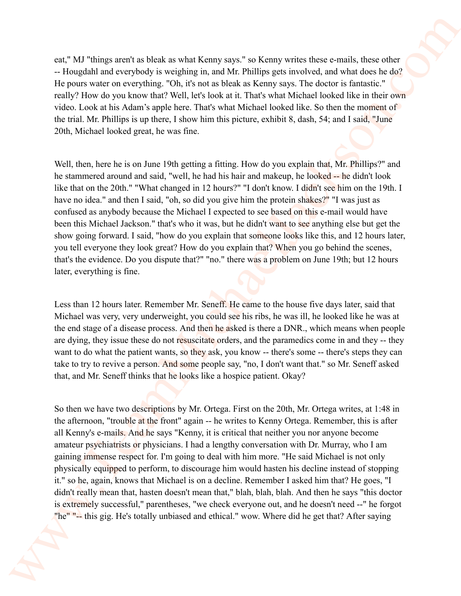eat," MJ "things aren't as bleak as what Kenny says." so Kenny writes these e-mails, these other -- Hougdahl and everybody is weighing in, and Mr. Phillips gets involved, and what does he do? He pours water on everything. "Oh, it's not as bleak as Kenny says. The doctor is fantastic." really? How do you know that? Well, let's look at it. That's what Michael looked like in their own video. Look at his Adam's apple here. That's what Michael looked like. So then the moment of the trial. Mr. Phillips is up there, I show him this picture, exhibit 8, dash, 54; and I said, "June 20th, Michael looked great, he was fine.

Well, then, here he is on June 19th getting a fitting. How do you explain that, Mr. Phillips?" and he stammered around and said, "well, he had his hair and makeup, he looked -- he didn't look like that on the 20th." "What changed in 12 hours?" "I don't know. I didn't see him on the 19th. I have no idea." and then I said, "oh, so did you give him the protein shakes?" "I was just as confused as anybody because the Michael I expected to see based on this e-mail would have been this Michael Jackson." that's who it was, but he didn't want to see anything else but get the show going forward. I said, "how do you explain that someone looks like this, and 12 hours later, you tell everyone they look great? How do you explain that? When you go behind the scenes, that's the evidence. Do you dispute that?" "no." there was a problem on June 19th; but 12 hours later, everything is fine. est,<sup>6</sup> MJ "things aren't as blank as what Kenny anys" as Kenny within the control, there are the controller in the controller in the state of the fille point of the controller in the state of the state of the state of th

Less than 12 hours later. Remember Mr. Seneff. He came to the house five days later, said that Michael was very, very underweight, you could see his ribs, he was ill, he looked like he was at the end stage of a disease process. And then he asked is there a DNR., which means when people are dying, they issue these do not resuscitate orders, and the paramedics come in and they -- they want to do what the patient wants, so they ask, you know -- there's some -- there's steps they can take to try to revive a person. And some people say, "no, I don't want that." so Mr. Seneff asked that, and Mr. Seneff thinks that he looks like a hospice patient. Okay?

So then we have two descriptions by Mr. Ortega. First on the 20th, Mr. Ortega writes, at 1:48 in the afternoon, "trouble at the front" again -- he writes to Kenny Ortega. Remember, this is after all Kenny's e-mails. And he says "Kenny, it is critical that neither you nor anyone become amateur psychiatrists or physicians. I had a lengthy conversation with Dr. Murray, who I am gaining immense respect for. I'm going to deal with him more. "He said Michael is not only physically equipped to perform, to discourage him would hasten his decline instead of stopping it." so he, again, knows that Michael is on a decline. Remember I asked him that? He goes, "I didn't really mean that, hasten doesn't mean that," blah, blah, blah. And then he says "this doctor is extremely successful," parentheses, "we check everyone out, and he doesn't need --" he forgot "he" "-- this gig. He's totally unbiased and ethical." wow. Where did he get that? After saying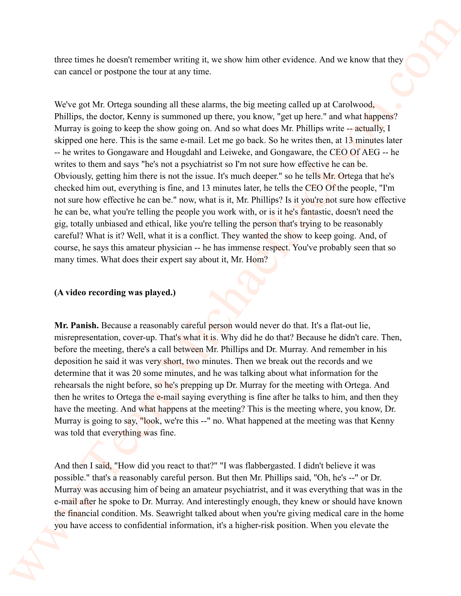three times he doesn't remember writing it, we show him other evidence. And we know that they can cancel or postpone the tour at any time.

We've got Mr. Ortega sounding all these alarms, the big meeting called up at Carolwood, Phillips, the doctor, Kenny is summoned up there, you know, "get up here." and what happens? Murray is going to keep the show going on. And so what does Mr. Phillips write -- actually, I skipped one here. This is the same e-mail. Let me go back. So he writes then, at 13 minutes later -- he writes to Gongaware and Hougdahl and Leiweke, and Gongaware, the CEO Of AEG -- he writes to them and says "he's not a psychiatrist so I'm not sure how effective he can be. Obviously, getting him there is not the issue. It's much deeper." so he tells Mr. Ortega that he's checked him out, everything is fine, and 13 minutes later, he tells the CEO Of the people, "I'm not sure how effective he can be." now, what is it, Mr. Phillips? Is it you're not sure how effective he can be, what you're telling the people you work with, or is it he's fantastic, doesn't need the gig, totally unbiased and ethical, like you're telling the person that's trying to be reasonably careful? What is it? Well, what it is a conflict. They wanted the show to keep going. And, of course, he says this amateur physician -- he has immense respect. You've probably seen that so many times. What does their expert say about it, Mr. Hom? three times he deem't intuitible sorting it, we show him other notions. And we know that the car cannot or particular the barriers are below meaning at the barriers of the system of the system of the system of the system

## **(A video recording was played.)**

**Mr. Panish.** Because a reasonably careful person would never do that. It's a flat-out lie, misrepresentation, cover-up. That's what it is. Why did he do that? Because he didn't care. Then, before the meeting, there's a call between Mr. Phillips and Dr. Murray. And remember in his deposition he said it was very short, two minutes. Then we break out the records and we determine that it was 20 some minutes, and he was talking about what information for the rehearsals the night before, so he's prepping up Dr. Murray for the meeting with Ortega. And then he writes to Ortega the e-mail saying everything is fine after he talks to him, and then they have the meeting. And what happens at the meeting? This is the meeting where, you know, Dr. Murray is going to say, "look, we're this --" no. What happened at the meeting was that Kenny was told that everything was fine.

And then I said, "How did you react to that?" "I was flabbergasted. I didn't believe it was possible." that's a reasonably careful person. But then Mr. Phillips said, "Oh, he's --" or Dr. Murray was accusing him of being an amateur psychiatrist, and it was everything that was in the e-mail after he spoke to Dr. Murray. And interestingly enough, they knew or should have known the financial condition. Ms. Seawright talked about when you're giving medical care in the home you have access to confidential information, it's a higher-risk position. When you elevate the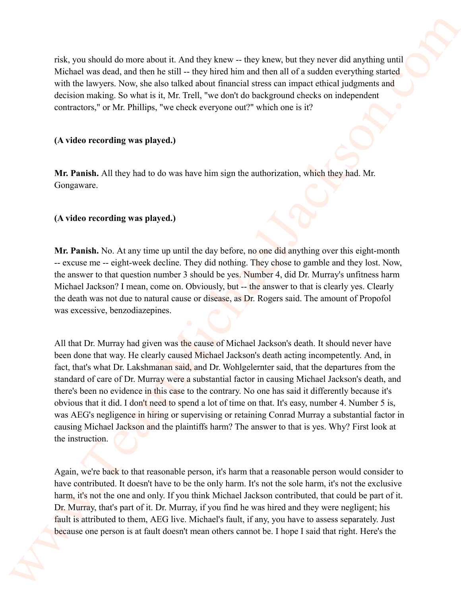risk, you should do more about it. And they knew -- they knew, but they never did anything until Michael was dead, and then he still -- they hired him and then all of a sudden everything started with the lawyers. Now, she also talked about financial stress can impact ethical judgments and decision making. So what is it, Mr. Trell, "we don't do background checks on independent contractors," or Mr. Phillips, "we check everyone out?" which one is it?

## **(A video recording was played.)**

**Mr. Panish.** All they had to do was have him sign the authorization, which they had. Mr. Gongaware.

## **(A video recording was played.)**

**Mr. Panish.** No. At any time up until the day before, no one did anything over this eight-month -- excuse me -- eight-week decline. They did nothing. They chose to gamble and they lost. Now, the answer to that question number 3 should be yes. Number 4, did Dr. Murray's unfitness harm Michael Jackson? I mean, come on. Obviously, but -- the answer to that is clearly yes. Clearly the death was not due to natural cause or disease, as Dr. Rogers said. The amount of Propofol was excessive, benzodiazepines.

All that Dr. Murray had given was the cause of Michael Jackson's death. It should never have been done that way. He clearly caused Michael Jackson's death acting incompetently. And, in fact, that's what Dr. Lakshmanan said, and Dr. Wohlgelernter said, that the departures from the standard of care of Dr. Murray were a substantial factor in causing Michael Jackson's death, and there's been no evidence in this case to the contrary. No one has said it differently because it's obvious that it did. I don't need to spend a lot of time on that. It's easy, number 4. Number 5 is, was AEG's negligence in hiring or supervising or retaining Conrad Murray a substantial factor in causing Michael Jackson and the plaintiffs harm? The answer to that is yes. Why? First look at the instruction. evic, you about 4 do mees about 11 And they knees. - they knees, but they never did anyinhage and<br>Virtholt see also and the michael-lack internal terms of the all of solidine energies stars<br>and the lacksons. Now, the abou

Again, we're back to that reasonable person, it's harm that a reasonable person would consider to have contributed. It doesn't have to be the only harm. It's not the sole harm, it's not the exclusive harm, it's not the one and only. If you think Michael Jackson contributed, that could be part of it. Dr. Murray, that's part of it. Dr. Murray, if you find he was hired and they were negligent; his fault is attributed to them, AEG live. Michael's fault, if any, you have to assess separately. Just because one person is at fault doesn't mean others cannot be. I hope I said that right. Here's the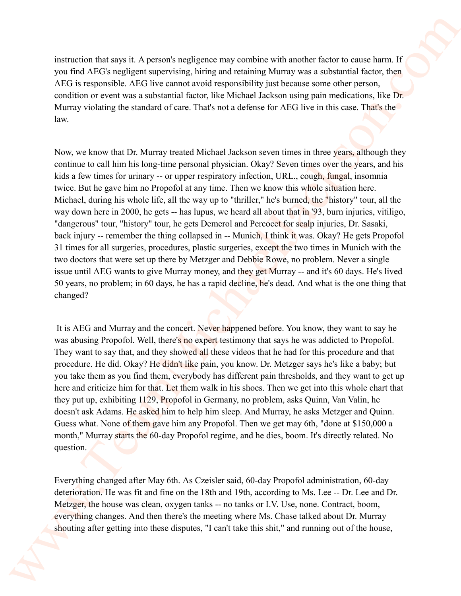instruction that says it. A person's negligence may combine with another factor to cause harm. If you find AEG's negligent supervising, hiring and retaining Murray was a substantial factor, then AEG is responsible. AEG live cannot avoid responsibility just because some other person, condition or event was a substantial factor, like Michael Jackson using pain medications, like Dr. Murray violating the standard of care. That's not a defense for AEG live in this case. That's the law.

Now, we know that Dr. Murray treated Michael Jackson seven times in three years, although they continue to call him his long-time personal physician. Okay? Seven times over the years, and his kids a few times for urinary -- or upper respiratory infection, URL., cough, fungal, insomnia twice. But he gave him no Propofol at any time. Then we know this whole situation here. Michael, during his whole life, all the way up to "thriller," he's burned, the "history" tour, all the way down here in 2000, he gets -- has lupus, we heard all about that in '93, burn injuries, vitiligo, "dangerous" tour, "history" tour, he gets Demerol and Percocet for scalp injuries, Dr. Sasaki, back injury -- remember the thing collapsed in -- Munich, I think it was. Okay? He gets Propofol 31 times for all surgeries, procedures, plastic surgeries, except the two times in Munich with the two doctors that were set up there by Metzger and Debbie Rowe, no problem. Never a single issue until AEG wants to give Murray money, and they get Murray -- and it's 60 days. He's lived 50 years, no problem; in 60 days, he has a rapid decline, he's dead. And what is the one thing that changed? maturation that says is. A person's runple<br>proceed with another softwared consections of the same of the same of<br>the same of the same of the same of the same of the same of the same of<br>the same of the same of the same of

 It is AEG and Murray and the concert. Never happened before. You know, they want to say he was abusing Propofol. Well, there's no expert testimony that says he was addicted to Propofol. They want to say that, and they showed all these videos that he had for this procedure and that procedure. He did. Okay? He didn't like pain, you know. Dr. Metzger says he's like a baby; but you take them as you find them, everybody has different pain thresholds, and they want to get up here and criticize him for that. Let them walk in his shoes. Then we get into this whole chart that they put up, exhibiting 1129, Propofol in Germany, no problem, asks Quinn, Van Valin, he doesn't ask Adams. He asked him to help him sleep. And Murray, he asks Metzger and Quinn. Guess what. None of them gave him any Propofol. Then we get may 6th, "done at \$150,000 a month," Murray starts the 60-day Propofol regime, and he dies, boom. It's directly related. No question.

Everything changed after May 6th. As Czeisler said, 60-day Propofol administration, 60-day deterioration. He was fit and fine on the 18th and 19th, according to Ms. Lee -- Dr. Lee and Dr. Metzger, the house was clean, oxygen tanks -- no tanks or I.V. Use, none. Contract, boom, everything changes. And then there's the meeting where Ms. Chase talked about Dr. Murray shouting after getting into these disputes, "I can't take this shit," and running out of the house,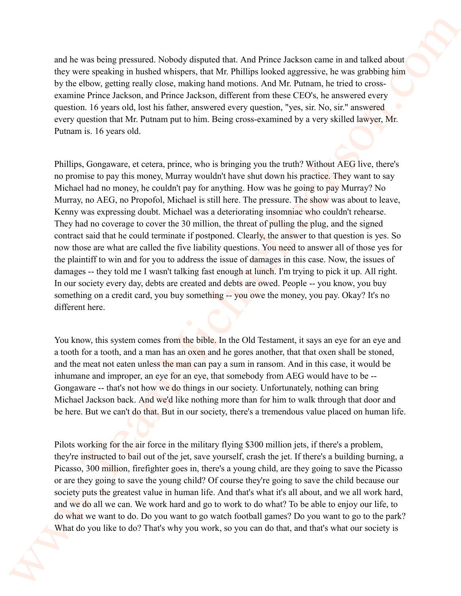and he was being pressured. Nobody disputed that. And Prince Jackson came in and talked about they were speaking in hushed whispers, that Mr. Phillips looked aggressive, he was grabbing him by the elbow, getting really close, making hand motions. And Mr. Putnam, he tried to crossexamine Prince Jackson, and Prince Jackson, different from these CEO's, he answered every question. 16 years old, lost his father, answered every question, "yes, sir. No, sir." answered every question that Mr. Putnam put to him. Being cross-examined by a very skilled lawyer, Mr. Putnam is. 16 years old.

Phillips, Gongaware, et cetera, prince, who is bringing you the truth? Without AEG live, there's no promise to pay this money, Murray wouldn't have shut down his practice. They want to say Michael had no money, he couldn't pay for anything. How was he going to pay Murray? No Murray, no AEG, no Propofol, Michael is still here. The pressure. The show was about to leave, Kenny was expressing doubt. Michael was a deteriorating insomniac who couldn't rehearse. They had no coverage to cover the 30 million, the threat of pulling the plug, and the signed contract said that he could terminate if postponed. Clearly, the answer to that question is yes. So now those are what are called the five liability questions. You need to answer all of those yes for the plaintiff to win and for you to address the issue of damages in this case. Now, the issues of damages -- they told me I wasn't talking fast enough at lunch. I'm trying to pick it up. All right. In our society every day, debts are created and debts are owed. People -- you know, you buy something on a credit card, you buy something -- you owe the money, you pay. Okay? It's no different here. and he was being pressured. Nobeley departed that And Prince Jackson comes meand tabel about the year spaint which also the principality the state of the principality the state of the state of the principality and the sta

You know, this system comes from the bible. In the Old Testament, it says an eye for an eye and a tooth for a tooth, and a man has an oxen and he gores another, that that oxen shall be stoned, and the meat not eaten unless the man can pay a sum in ransom. And in this case, it would be inhumane and improper, an eye for an eye, that somebody from AEG would have to be -- Gongaware -- that's not how we do things in our society. Unfortunately, nothing can bring Michael Jackson back. And we'd like nothing more than for him to walk through that door and be here. But we can't do that. But in our society, there's a tremendous value placed on human life.

Pilots working for the air force in the military flying \$300 million jets, if there's a problem, they're instructed to bail out of the jet, save yourself, crash the jet. If there's a building burning, a Picasso, 300 million, firefighter goes in, there's a young child, are they going to save the Picasso or are they going to save the young child? Of course they're going to save the child because our society puts the greatest value in human life. And that's what it's all about, and we all work hard, and we do all we can. We work hard and go to work to do what? To be able to enjoy our life, to do what we want to do. Do you want to go watch football games? Do you want to go to the park? What do you like to do? That's why you work, so you can do that, and that's what our society is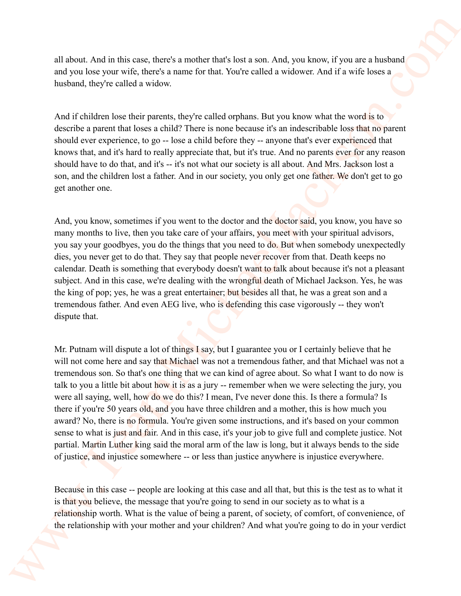all about. And in this case, there's a mother that's lost a son. And, you know, if you are a husband and you lose your wife, there's a name for that. You're called a widower. And if a wife loses a husband, they're called a widow.

And if children lose their parents, they're called orphans. But you know what the word is to describe a parent that loses a child? There is none because it's an indescribable loss that no parent should ever experience, to go -- lose a child before they -- anyone that's ever experienced that knows that, and it's hard to really appreciate that, but it's true. And no parents ever for any reason should have to do that, and it's -- it's not what our society is all about. And Mrs. Jackson lost a son, and the children lost a father. And in our society, you only get one father. We don't get to go get another one.

And, you know, sometimes if you went to the doctor and the doctor said, you know, you have so many months to live, then you take care of your affairs, you meet with your spiritual advisors, you say your goodbyes, you do the things that you need to do. But when somebody unexpectedly dies, you never get to do that. They say that people never recover from that. Death keeps no calendar. Death is something that everybody doesn't want to talk about because it's not a pleasant subject. And in this case, we're dealing with the wrongful death of Michael Jackson. Yes, he was the king of pop; yes, he was a great entertainer; but besides all that, he was a great son and a tremendous father. And even AEG live, who is defending this case vigorously -- they won't dispute that.

Mr. Putnam will dispute a lot of things I say, but I guarantee you or I certainly believe that he will not come here and say that Michael was not a tremendous father, and that Michael was not a tremendous son. So that's one thing that we can kind of agree about. So what I want to do now is talk to you a little bit about how it is as a jury -- remember when we were selecting the jury, you were all saying, well, how do we do this? I mean, I've never done this. Is there a formula? Is there if you're 50 years old, and you have three children and a mother, this is how much you award? No, there is no formula. You're given some instructions, and it's based on your common sense to what is just and fair. And in this case, it's your job to give full and complete justice. Not partial. Martin Luther king said the moral arm of the law is long, but it always bends to the side of justice, and injustice somewhere -- or less than justice anywhere is injustice everywhere. all about. And in this case, there's a worther that's bot a some And, you know, if you are should<br>and you know which there is the matter that Native called a violence. And if a solicite line is your standard interval to t

Because in this case -- people are looking at this case and all that, but this is the test as to what it is that you believe, the message that you're going to send in our society as to what is a relationship worth. What is the value of being a parent, of society, of comfort, of convenience, of the relationship with your mother and your children? And what you're going to do in your verdict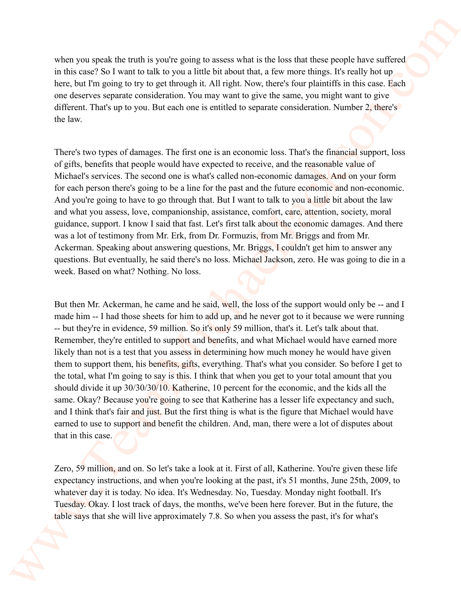when you speak the truth is you're going to assess what is the loss that these people have suffered in this case? So I want to talk to you a little bit about that, a few more things. It's really hot up here, but I'm going to try to get through it. All right. Now, there's four plaintiffs in this case. Each one deserves separate consideration. You may want to give the same, you might want to give different. That's up to you. But each one is entitled to separate consideration. Number 2, there's the law.

There's two types of damages. The first one is an economic loss. That's the financial support, loss of gifts, benefits that people would have expected to receive, and the reasonable value of Michael's services. The second one is what's called non-economic damages. And on your form for each person there's going to be a line for the past and the future economic and non-economic. And you're going to have to go through that. But I want to talk to you a little bit about the law and what you assess, love, companionship, assistance, comfort, care, attention, society, moral guidance, support. I know I said that fast. Let's first talk about the economic damages. And there was a lot of testimony from Mr. Erk, from Dr. Formuzis, from Mr. Briggs and from Mr. Ackerman. Speaking about answering questions, Mr. Briggs, I couldn't get him to answer any questions. But eventually, he said there's no loss. Michael Jackson, zero. He was going to die in a week. Based on what? Nothing. No loss.

But then Mr. Ackerman, he came and he said, well, the loss of the support would only be -- and I made him -- I had those sheets for him to add up, and he never got to it because we were running -- but they're in evidence, 59 million. So it's only 59 million, that's it. Let's talk about that. Remember, they're entitled to support and benefits, and what Michael would have earned more likely than not is a test that you assess in determining how much money he would have given them to support them, his benefits, gifts, everything. That's what you consider. So before I get to the total, what I'm going to say is this. I think that when you get to your total amount that you should divide it up 30/30/30/10. Katherine, 10 percent for the economic, and the kids all the same. Okay? Because you're going to see that Katherine has a lesser life expectancy and such, and I think that's fair and just. But the first thing is what is the figure that Michael would have earned to use to support and benefit the children. And, man, there were a lot of disputes about that in this case. when your speak the runth is you're going to assess what is the loss that there people have surfired in the same of the loss of the loss of the loss of the same of the same of the same of the same of the same of the same

Zero, 59 million, and on. So let's take a look at it. First of all, Katherine. You're given these life expectancy instructions, and when you're looking at the past, it's 51 months, June 25th, 2009, to whatever day it is today. No idea. It's Wednesday. No, Tuesday. Monday night football. It's Tuesday. Okay. I lost track of days, the months, we've been here forever. But in the future, the table says that she will live approximately 7.8. So when you assess the past, it's for what's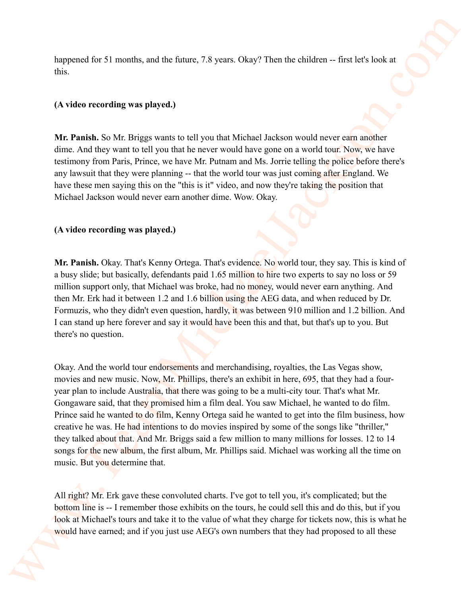happened for 51 months, and the future, 7.8 years. Okay? Then the children -- first let's look at this.

# **(A video recording was played.)**

**Mr. Panish.** So Mr. Briggs wants to tell you that Michael Jackson would never earn another dime. And they want to tell you that he never would have gone on a world tour. Now, we have testimony from Paris, Prince, we have Mr. Putnam and Ms. Jorrie telling the police before there's any lawsuit that they were planning -- that the world tour was just coming after England. We have these men saying this on the "this is it" video, and now they're taking the position that Michael Jackson would never earn another dime. Wow. Okay.

# **(A video recording was played.)**

Mr. Panish. Okay. That's Kenny Ortega. That's evidence. No world tour, they say. This is kind of a busy slide; but basically, defendants paid 1.65 million to hire two experts to say no loss or 59 million support only, that Michael was broke, had no money, would never earn anything. And then Mr. Erk had it between 1.2 and 1.6 billion using the AEG data, and when reduced by Dr. Formuzis, who they didn't even question, hardly, it was between 910 million and 1.2 billion. And I can stand up here forever and say it would have been this and that, but that's up to you. But there's no question.

Okay. And the world tour endorsements and merchandising, royalties, the Las Vegas show, movies and new music. Now, Mr. Phillips, there's an exhibit in here, 695, that they had a fouryear plan to include Australia, that there was going to be a multi-city tour. That's what Mr. Gongaware said, that they promised him a film deal. You saw Michael, he wanted to do film. Prince said he wanted to do film, Kenny Ortega said he wanted to get into the film business, how creative he was. He had intentions to do movies inspired by some of the songs like "thriller," they talked about that. And Mr. Briggs said a few million to many millions for losses. 12 to 14 songs for the new album, the first album, Mr. Phillips said. Michael was working all the time on music. But you determine that. happeness for 51 months, and the future, 7.8 years. Okey? Then the children -- first lefts hold at the set of the Control of the Control of the Control of the Control of the Control of the Control of the Control of the Co

All right? Mr. Erk gave these convoluted charts. I've got to tell you, it's complicated; but the bottom line is -- I remember those exhibits on the tours, he could sell this and do this, but if you look at Michael's tours and take it to the value of what they charge for tickets now, this is what he would have earned; and if you just use AEG's own numbers that they had proposed to all these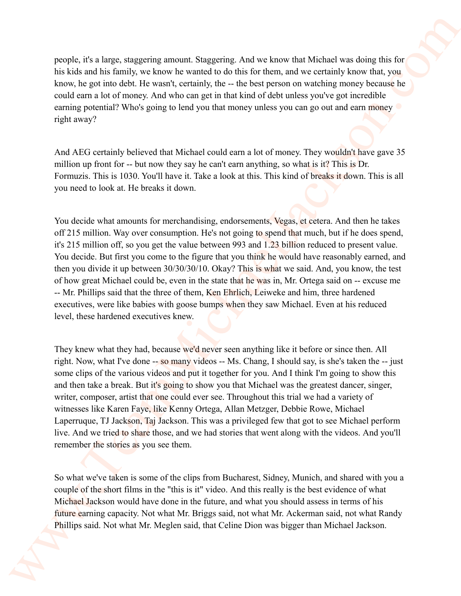people, it's a large, staggering amount. Staggering. And we know that Michael was doing this for his kids and his family, we know he wanted to do this for them, and we certainly know that, you know, he got into debt. He wasn't, certainly, the -- the best person on watching money because he could earn a lot of money. And who can get in that kind of debt unless you've got incredible earning potential? Who's going to lend you that money unless you can go out and earn money  $\bullet$ right away?

And AEG certainly believed that Michael could earn a lot of money. They wouldn't have gave 35 million up front for -- but now they say he can't earn anything, so what is it? This is Dr. Formuzis. This is 1030. You'll have it. Take a look at this. This kind of breaks it down. This is all you need to look at. He breaks it down.

You decide what amounts for merchandising, endorsements, Vegas, et cetera. And then he takes off 215 million. Way over consumption. He's not going to spend that much, but if he does spend, it's 215 million off, so you get the value between 993 and 1.23 billion reduced to present value. You decide. But first you come to the figure that you think he would have reasonably earned, and then you divide it up between 30/30/30/10. Okay? This is what we said. And, you know, the test of how great Michael could be, even in the state that he was in, Mr. Ortega said on -- excuse me -- Mr. Phillips said that the three of them, Ken Ehrlich, Leiweke and him, three hardened executives, were like babies with goose bumps when they saw Michael. Even at his reduced level, these hardened executives knew. parents, rits a large, staggering amount. Staggering, And wis how shot Wishel was doing this the holid and hot form in the same but the form and second the same of the main staggering the same of the same of the same of t

They knew what they had, because we'd never seen anything like it before or since then. All right. Now, what I've done -- so many videos -- Ms. Chang, I should say, is she's taken the -- just some clips of the various videos and put it together for you. And I think I'm going to show this and then take a break. But it's going to show you that Michael was the greatest dancer, singer, writer, composer, artist that one could ever see. Throughout this trial we had a variety of witnesses like Karen Faye, like Kenny Ortega, Allan Metzger, Debbie Rowe, Michael Laperruque, TJ Jackson, Taj Jackson. This was a privileged few that got to see Michael perform live. And we tried to share those, and we had stories that went along with the videos. And you'll remember the stories as you see them.

So what we've taken is some of the clips from Bucharest, Sidney, Munich, and shared with you a couple of the short films in the "this is it" video. And this really is the best evidence of what Michael Jackson would have done in the future, and what you should assess in terms of his future earning capacity. Not what Mr. Briggs said, not what Mr. Ackerman said, not what Randy Phillips said. Not what Mr. Meglen said, that Celine Dion was bigger than Michael Jackson.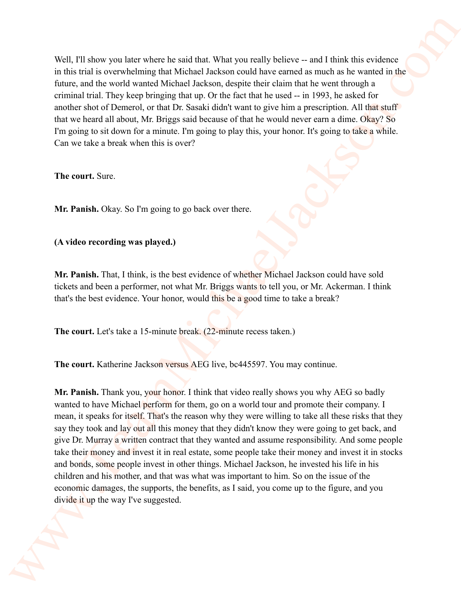Well, I'll show you later where he said that. What you really believe -- and I think this evidence in this trial is overwhelming that Michael Jackson could have earned as much as he wanted in the future, and the world wanted Michael Jackson, despite their claim that he went through a criminal trial. They keep bringing that up. Or the fact that he used -- in 1993, he asked for another shot of Demerol, or that Dr. Sasaki didn't want to give him a prescription. All that stuff that we heard all about, Mr. Briggs said because of that he would never earn a dime. Okay? So I'm going to sit down for a minute. I'm going to play this, your honor. It's going to take a while. Can we take a break when this is over?

**The court.** Sure.

**Mr. Panish.** Okay. So I'm going to go back over there.

**(A video recording was played.)** 

**Mr. Panish.** That, I think, is the best evidence of whether Michael Jackson could have sold tickets and been a performer, not what Mr. Briggs wants to tell you, or Mr. Ackerman. I think that's the best evidence. Your honor, would this be a good time to take a break?

**The court.** Let's take a 15-minute break. (22-minute recess taken.)

**The court.** Katherine Jackson versus AEG live, bc445597. You may continue.

**Mr. Panish.** Thank you, your honor. I think that video really shows you why AEG so badly wanted to have Michael perform for them, go on a world tour and promote their company. I mean, it speaks for itself. That's the reason why they were willing to take all these risks that they say they took and lay out all this money that they didn't know they were going to get back, and give Dr. Murray a written contract that they wanted and assume responsibility. And some people take their money and invest it in real estate, some people take their money and invest it in stocks and bonds, some people invest in other things. Michael Jackson, he invested his life in his children and his mother, and that was what was important to him. So on the issue of the economic damages, the supports, the benefits, as I said, you come up to the figure, and you divide it up the way I've suggested. Well, FII show you have where he said that What you really believe a-and I finite this revisions in this matrix is worked below that the state of the wealth of the state of the state of the state of the state of the state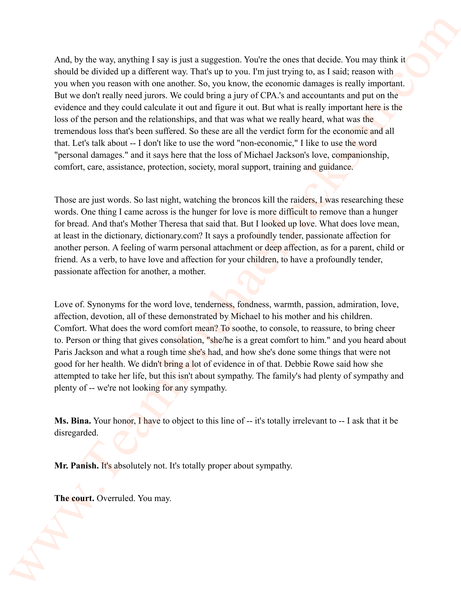And, by the way, anything I say is just a suggestion. You're the ones that decide. You may think it should be divided up a different way. That's up to you. I'm just trying to, as I said; reason with you when you reason with one another. So, you know, the economic damages is really important. But we don't really need jurors. We could bring a jury of CPA 's and accountants and put on the evidence and they could calculate it out and figure it out. But what is really important here is the loss of the person and the relationships, and that was what we really heard, what was the tremendous loss that's been suffered. So these are all the verdict form for the economic and all that. Let's talk about -- I don't like to use the word "non-economic," I like to use the word "personal damages." and it says here that the loss of Michael Jackson's love, companionship, comfort, care, assistance, protection, society, moral support, training and guidance. And, by the secs, anything I say is just a magnetive. Vector for one that decide. You may direct shall the develop and all because in The V in to some True integrals to say but a small research with the second transfer of

Those are just words. So last night, watching the broncos kill the raiders, I was researching these words. One thing I came across is the hunger for love is more difficult to remove than a hunger for bread. And that's Mother Theresa that said that. But I looked up love. What does love mean, at least in the dictionary, dictionary.com? It says a profoundly tender, passionate affection for another person. A feeling of warm personal attachment or deep affection, as for a parent, child or friend. As a verb, to have love and affection for your children, to have a profoundly tender, passionate affection for another, a mother.

Love of. Synonyms for the word love, tenderness, fondness, warmth, passion, admiration, love, affection, devotion, all of these demonstrated by Michael to his mother and his children. Comfort. What does the word comfort mean? To soothe, to console, to reassure, to bring cheer to. Person or thing that gives consolation, "she/he is a great comfort to him." and you heard about Paris Jackson and what a rough time she's had, and how she's done some things that were not good for her health. We didn't bring a lot of evidence in of that. Debbie Rowe said how she attempted to take her life, but this isn't about sympathy. The family's had plenty of sympathy and plenty of -- we're not looking for any sympathy.

**Ms. Bina.** Your honor, I have to object to this line of -- it's totally irrelevant to -- I ask that it be disregarded.

**Mr. Panish.** It's absolutely not. It's totally proper about sympathy.

**The court.** Overruled. You may.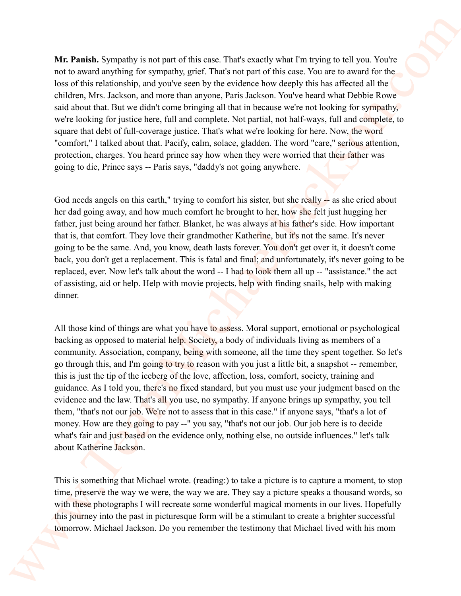**Mr. Panish.** Sympathy is not part of this case. That's exactly what I'm trying to tell you. You're not to award anything for sympathy, grief. That's not part of this case. You are to award for the loss of this relationship, and you've seen by the evidence how deeply this has affected all the children, Mrs. Jackson, and more than anyone, Paris Jackson. You've heard what Debbie Rowe said about that. But we didn't come bringing all that in because we're not looking for sympathy, we're looking for justice here, full and complete. Not partial, not half-ways, full and complete, to square that debt of full-coverage justice. That's what we're looking for here. Now, the word "comfort," I talked about that. Pacify, calm, solace, gladden. The word "care," serious attention, protection, charges. You heard prince say how when they were worried that their father was going to die, Prince says -- Paris says, "daddy's not going anywhere.

God needs angels on this earth," trying to comfort his sister, but she really -- as she cried about her dad going away, and how much comfort he brought to her, how she felt just hugging her father, just being around her father. Blanket, he was always at his father's side. How important that is, that comfort. They love their grandmother Katherine, but it's not the same. It's never going to be the same. And, you know, death lasts forever. You don't get over it, it doesn't come back, you don't get a replacement. This is fatal and final; and unfortunately, it's never going to be replaced, ever. Now let's talk about the word -- I had to look them all up -- "assistance." the act of assisting, aid or help. Help with movie projects, help with finding snails, help with making dinner.

All those kind of things are what you have to assess. Moral support, emotional or psychological backing as opposed to material help. Society, a body of individuals living as members of a community. Association, company, being with someone, all the time they spent together. So let's go through this, and I'm going to try to reason with you just a little bit, a snapshot -- remember, this is just the tip of the iceberg of the love, affection, loss, comfort, society, training and guidance. As I told you, there's no fixed standard, but you must use your judgment based on the evidence and the law. That's all you use, no sympathy. If anyone brings up sympathy, you tell them, "that's not our job. We're not to assess that in this case." if anyone says, "that's a lot of money. How are they going to pay --" you say, "that's not our job. Our job here is to decide what's fair and just based on the evidence only, nothing else, no outside influences." let's talk about Katherine Jackson. We, Posisiak, Syrepathy is we must of this case. That's easily what Pro Eying to ed you. Vorter mit to accord any time of the red perturbe control to the control of the scheme of the scheme of the scheme of the column to

This is something that Michael wrote. (reading:) to take a picture is to capture a moment, to stop time, preserve the way we were, the way we are. They say a picture speaks a thousand words, so with these photographs I will recreate some wonderful magical moments in our lives. Hopefully this journey into the past in picturesque form will be a stimulant to create a brighter successful tomorrow. Michael Jackson. Do you remember the testimony that Michael lived with his mom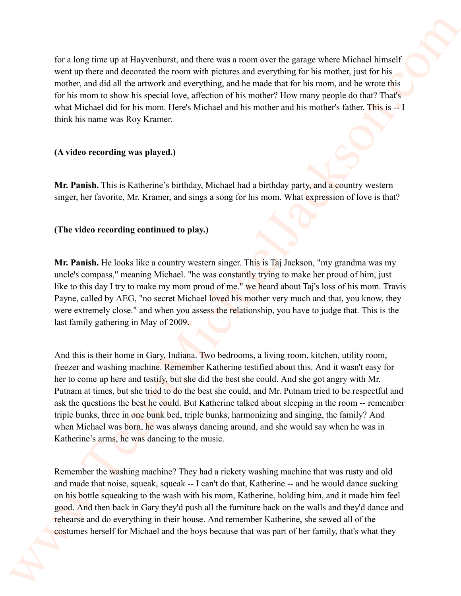for a long time up at Hayvenhurst, and there was a room over the garage where Michael himself went up there and decorated the room with pictures and everything for his mother, just for his mother, and did all the artwork and everything, and he made that for his mom, and he wrote this for his mom to show his special love, affection of his mother? How many people do that? That's what Michael did for his mom. Here's Michael and his mother and his mother's father. This is -- I think his name was Roy Kramer.

## **(A video recording was played.)**

**Mr. Panish.** This is Katherine's birthday, Michael had a birthday party, and a country western singer, her favorite, Mr. Kramer, and sings a song for his mom. What expression of love is that?

# **(The video recording continued to play.)**

**Mr. Panish.** He looks like a country western singer. This is Taj Jackson, "my grandma was my uncle's compass," meaning Michael. "he was constantly trying to make her proud of him, just like to this day I try to make my mom proud of me." we heard about Taj's loss of his mom. Travis Payne, called by AEG, "no secret Michael loved his mother very much and that, you know, they were extremely close." and when you assess the relationship, you have to judge that. This is the last family gathering in May of 2009.

And this is their home in Gary, Indiana. Two bedrooms, a living room, kitchen, utility room, freezer and washing machine. Remember Katherine testified about this. And it wasn't easy for her to come up here and testify, but she did the best she could. And she got angry with Mr. Putnam at times, but she tried to do the best she could, and Mr. Putnam tried to be respectful and ask the questions the best he could. But Katherine talked about sleeping in the room -- remember triple bunks, three in one bunk bed, triple bunks, harmonizing and singing, the family? And when Michael was born, he was always dancing around, and she would say when he was in Katherine's arms, he was dancing to the music. for a long-tree top at Haycesburg, and there was a nuore are the gauge where Michael First-off vertical particles with a method of the method of the method of the method of the method of the method of the method of the me

Remember the washing machine? They had a rickety washing machine that was rusty and old and made that noise, squeak, squeak -- I can't do that, Katherine -- and he would dance sucking on his bottle squeaking to the wash with his mom, Katherine, holding him, and it made him feel good. And then back in Gary they'd push all the furniture back on the walls and they'd dance and rehearse and do everything in their house. And remember Katherine, she sewed all of the costumes herself for Michael and the boys because that was part of her family, that's what they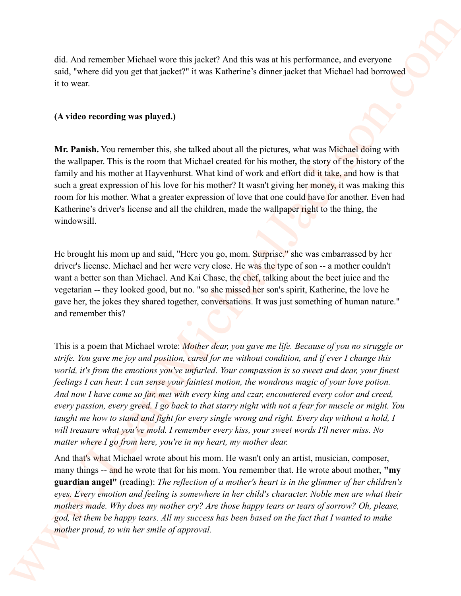did. And remember Michael wore this jacket? And this was at his performance, and everyone said, "where did you get that jacket?" it was Katherine's dinner jacket that Michael had borrowed it to wear.

#### **(A video recording was played.)**

**Mr. Panish.** You remember this, she talked about all the pictures, what was Michael doing with the wallpaper. This is the room that Michael created for his mother, the story of the history of the family and his mother at Hayvenhurst. What kind of work and effort did it take, and how is that such a great expression of his love for his mother? It wasn't giving her money, it was making this room for his mother. What a greater expression of love that one could have for another. Even had Katherine's driver's license and all the children, made the wallpaper right to the thing, the windowsill.

He brought his mom up and said, "Here you go, mom. Surprise." she was embarrassed by her driver's license. Michael and her were very close. He was the type of son -- a mother couldn't want a better son than Michael. And Kai Chase, the chef, talking about the beet juice and the vegetarian -- they looked good, but no. "so she missed her son's spirit, Katherine, the love he gave her, the jokes they shared together, conversations. It was just something of human nature." and remember this?

This is a poem that Michael wrote: *Mother dear, you gave me life. Because of you no struggle or strife. You gave me joy and position, cared for me without condition, and if ever I change this world, it's from the emotions you've unfurled. Your compassion is so sweet and dear, your finest feelings I can hear. I can sense your faintest motion, the wondrous magic of your love potion. And now I have come so far, met with every king and czar, encountered every color and creed, every passion, every greed. I go back to that starry night with not a fear for muscle or might. You taught me how to stand and fight for every single wrong and right. Every day without a hold, I will treasure what you've mold. I remember every kiss, your sweet words I'll never miss. No matter where I go from here, you're in my heart, my mother dear.*  did. And remember Michael were this palach? And this sous at his performance, and scenares and scheme and the sous and the sous at his performance, and scenares in the sous of the sous of the sous of the sous of the sous

And that's what Michael wrote about his mom. He wasn't only an artist, musician, composer, many things -- and he wrote that for his mom. You remember that. He wrote about mother, **"my guardian angel"** (reading): *The reflection of a mother's heart is in the glimmer of her children's eyes. Every emotion and feeling is somewhere in her child's character. Noble men are what their mothers made. Why does my mother cry? Are those happy tears or tears of sorrow? Oh, please, god, let them be happy tears. All my success has been based on the fact that I wanted to make mother proud, to win her smile of approval.*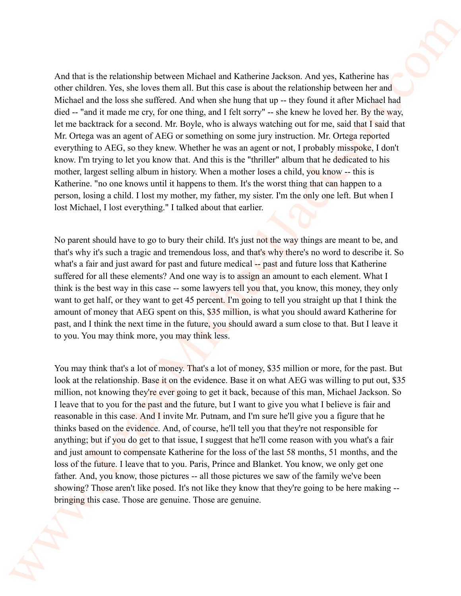And that is the relationship between Michael and Katherine Jackson. And yes, Katherine has other children. Yes, she loves them all. But this case is about the relationship between her and Michael and the loss she suffered. And when she hung that up -- they found it after Michael had died -- "and it made me cry, for one thing, and I felt sorry" -- she knew he loved her. By the way, let me backtrack for a second. Mr. Boyle, who is always watching out for me, said that I said that Mr. Ortega was an agent of AEG or something on some jury instruction. Mr. Ortega reported everything to AEG, so they knew. Whether he was an agent or not, I probably misspoke, I don't know. I'm trying to let you know that. And this is the "thriller" album that he dedicated to his mother, largest selling album in history. When a mother loses a child, you know -- this is Katherine. "no one knows until it happens to them. It's the worst thing that can happen to a person, losing a child. I lost my mother, my father, my sister. I'm the only one left. But when I lost Michael, I lost everything." I talked about that earlier.

No parent should have to go to bury their child. It's just not the way things are meant to be, and that's why it's such a tragic and tremendous loss, and that's why there's no word to describe it. So what's a fair and just award for past and future medical -- past and future loss that Katherine suffered for all these elements? And one way is to assign an amount to each element. What I think is the best way in this case -- some lawyers tell you that, you know, this money, they only want to get half, or they want to get 45 percent. I'm going to tell you straight up that I think the amount of money that AEG spent on this, \$35 million, is what you should award Katherine for past, and I think the next time in the future, you should award a sum close to that. But I leave it to you. You may think more, you may think less.

You may think that's a lot of money. That's a lot of money, \$35 million or more, for the past. But look at the relationship. Base it on the evidence. Base it on what AEG was willing to put out, \$35 million, not knowing they're ever going to get it back, because of this man, Michael Jackson. So I leave that to you for the past and the future, but I want to give you what I believe is fair and reasonable in this case. And I invite Mr. Putnam, and I'm sure he'll give you a figure that he thinks based on the evidence. And, of course, he'll tell you that they're not responsible for anything; but if you do get to that issue, I suggest that he'll come reason with you what's a fair and just amount to compensate Katherine for the loss of the last 58 months, 51 months, and the loss of the future. I leave that to you. Paris, Prince and Blanket. You know, we only get one father. And, you know, those pictures -- all those pictures we saw of the family we've been showing? Those aren't like posed. It's not like they know that they're going to be here making - bringing this case. Those are genuine. Those are genuine. And due is the relationship between Michael and Kulheins Jackson. And yes. Kadacine has other distincts Jackson And yes. Kadacine has Michael and Kulheins Jackson And Walkeins and Michael and Michael and Michael and Micha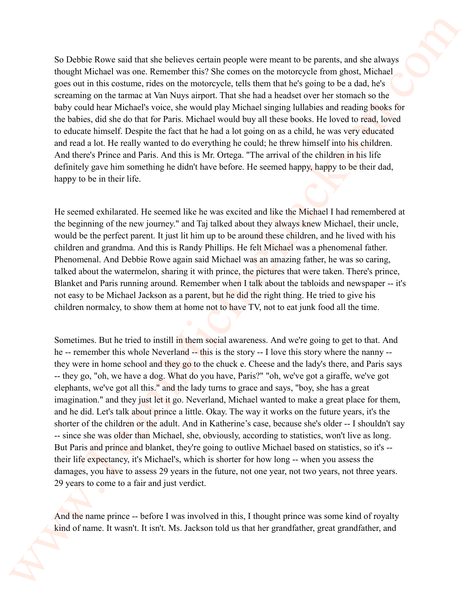So Debbie Rowe said that she believes certain people were meant to be parents, and she always thought Michael was one. Remember this? She comes on the motorcycle from ghost, Michael goes out in this costume, rides on the motorcycle, tells them that he's going to be a dad, he's screaming on the tarmac at Van Nuys airport. That she had a headset over her stomach so the baby could hear Michael's voice, she would play Michael singing lullabies and reading books for the babies, did she do that for Paris. Michael would buy all these books. He loved to read, loved to educate himself. Despite the fact that he had a lot going on as a child, he was very educated and read a lot. He really wanted to do everything he could; he threw himself into his children. And there's Prince and Paris. And this is Mr. Ortega. "The arrival of the children in his life definitely gave him something he didn't have before. He seemed happy, happy to be their dad, happy to be in their life.

He seemed exhilarated. He seemed like he was excited and like the Michael I had remembered at the beginning of the new journey." and Taj talked about they always knew Michael, their uncle, would be the perfect parent. It just lit him up to be around these children, and he lived with his children and grandma. And this is Randy Phillips. He felt Michael was a phenomenal father. Phenomenal. And Debbie Rowe again said Michael was an amazing father, he was so caring, talked about the watermelon, sharing it with prince, the pictures that were taken. There's prince, Blanket and Paris running around. Remember when I talk about the tabloids and newspaper -- it's not easy to be Michael Jackson as a parent, but he did the right thing. He tried to give his children normalcy, to show them at home not to have TV, not to eat junk food all the time.

Sometimes. But he tried to instill in them social awareness. And we're going to get to that. And he -- remember this whole Neverland -- this is the story -- I love this story where the nanny -they were in home school and they go to the chuck e. Cheese and the lady's there, and Paris says -- they go, "oh, we have a dog. What do you have, Paris?" "oh, we've got a giraffe, we've got elephants, we've got all this." and the lady turns to grace and says, "boy, she has a great imagination." and they just let it go. Neverland, Michael wanted to make a great place for them, and he did. Let's talk about prince a little. Okay. The way it works on the future years, it's the shorter of the children or the adult. And in Katherine's case, because she's older -- I shouldn't say -- since she was older than Michael, she, obviously, according to statistics, won't live as long. But Paris and prince and blanket, they're going to outlive Michael based on statistics, so it's - their life expectancy, it's Michael's, which is shorter for how long -- when you assess the damages, you have to assess 29 years in the future, not one year, not two years, not three years. 29 years to come to a fair and just verdict. So Debbie Rowe suid that die behere surtuin propie were retaint to be pureme, and she always though the behavior and the state of the state of the pure of the state of the state of the state of the state of the state of t

And the name prince -- before I was involved in this, I thought prince was some kind of royalty kind of name. It wasn't. It isn't. Ms. Jackson told us that her grandfather, great grandfather, and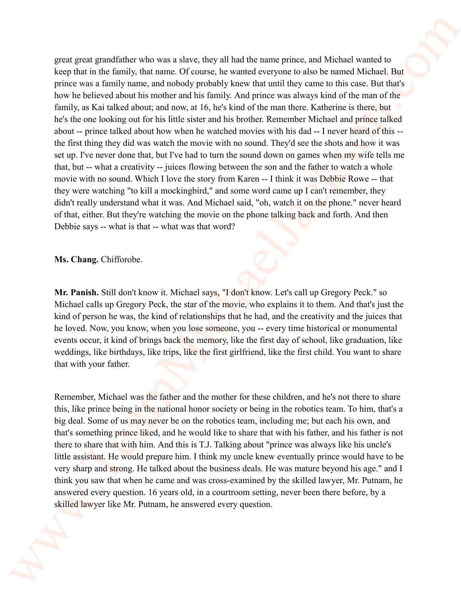great great grandfather who was a slave, they all had the name prince, and Michael wanted to keep that in the family, that name. Of course, he wanted everyone to also be named Michael. But prince was a family name, and nobody probably knew that until they came to this case. But that's how he believed about his mother and his family. And prince was always kind of the man of the family, as Kai talked about; and now, at 16, he's kind of the man there. Katherine is there, but he's the one looking out for his little sister and his brother. Remember Michael and prince talked about -- prince talked about how when he watched movies with his dad -- I never heard of this - the first thing they did was watch the movie with no sound. They'd see the shots and how it was set up. I've never done that, but I've had to turn the sound down on games when my wife tells me that, but -- what a creativity -- juices flowing between the son and the father to watch a whole movie with no sound. Which I love the story from Karen -- I think it was Debbie Rowe -- that they were watching "to kill a mockingbird," and some word came up I can't remember, they didn't really understand what it was. And Michael said, "oh, watch it on the phone." never heard of that, either. But they're watching the movie on the phone talking back and forth. And then Debbie says -- what is that -- what was that word? grant groundfuller who, some alone, they all had the numerprincs, and Michael sources to have their fit in the fit map of the state of the state of the state of the state of the state of the state of the state of the stat

**Ms. Chang.** Chifforobe.

**Mr. Panish.** Still don't know it. Michael says, "I don't know. Let's call up Gregory Peck." so Michael calls up Gregory Peck, the star of the movie, who explains it to them. And that's just the kind of person he was, the kind of relationships that he had, and the creativity and the juices that he loved. Now, you know, when you lose someone, you -- every time historical or monumental events occur, it kind of brings back the memory, like the first day of school, like graduation, like weddings, like birthdays, like trips, like the first girlfriend, like the first child. You want to share that with your father.

Remember, Michael was the father and the mother for these children, and he's not there to share this, like prince being in the national honor society or being in the robotics team. To him, that's a big deal. Some of us may never be on the robotics team, including me; but each his own, and that's something prince liked, and he would like to share that with his father, and his father is not there to share that with him. And this is T.J. Talking about "prince was always like his uncle's little assistant. He would prepare him. I think my uncle knew eventually prince would have to be very sharp and strong. He talked about the business deals. He was mature beyond his age." and I think you saw that when he came and was cross-examined by the skilled lawyer, Mr. Putnam, he answered every question. 16 years old, in a courtroom setting, never been there before, by a skilled lawyer like Mr. Putnam, he answered every question.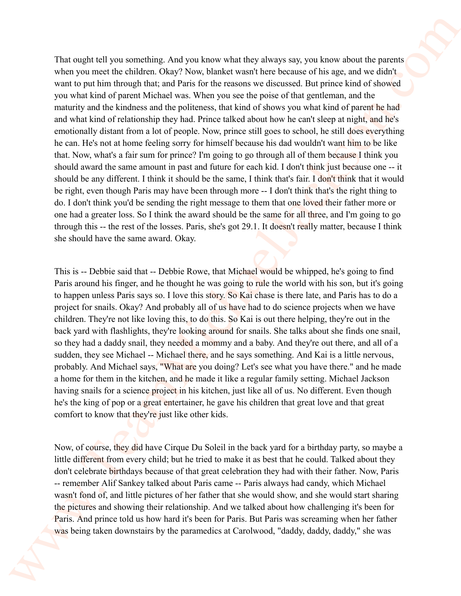That ought tell you something. And you know what they always say, you know about the parents when you meet the children. Okay? Now, blanket wasn't here because of his age, and we didn't want to put him through that; and Paris for the reasons we discussed. But prince kind of showed you what kind of parent Michael was. When you see the poise of that gentleman, and the maturity and the kindness and the politeness, that kind of shows you what kind of parent he had and what kind of relationship they had. Prince talked about how he can't sleep at night, and he's emotionally distant from a lot of people. Now, prince still goes to school, he still does everything he can. He's not at home feeling sorry for himself because his dad wouldn't want him to be like that. Now, what's a fair sum for prince? I'm going to go through all of them because I think you should award the same amount in past and future for each kid. I don't think just because one -- it should be any different. I think it should be the same, I think that's fair. I don't think that it would be right, even though Paris may have been through more -- I don't think that's the right thing to do. I don't think you'd be sending the right message to them that one loved their father more or one had a greater loss. So I think the award should be the same for all three, and I'm going to go through this -- the rest of the losses. Paris, she's got 29.1. It doesn't really matter, because I think she should have the same award. Okay. That eaglie tell you something. And you know what they discuss on your know what the premist velocity and the mediation of the present solution of the present solution of the present solution of the present solution of th

This is -- Debbie said that -- Debbie Rowe, that Michael would be whipped, he's going to find Paris around his finger, and he thought he was going to rule the world with his son, but it's going to happen unless Paris says so. I love this story. So Kai chase is there late, and Paris has to do a project for snails. Okay? And probably all of us have had to do science projects when we have children. They're not like loving this, to do this. So Kai is out there helping, they're out in the back yard with flashlights, they're looking around for snails. She talks about she finds one snail, so they had a daddy snail, they needed a mommy and a baby. And they're out there, and all of a sudden, they see Michael -- Michael there, and he says something. And Kai is a little nervous, probably. And Michael says, "What are you doing? Let's see what you have there." and he made a home for them in the kitchen, and he made it like a regular family setting. Michael Jackson having snails for a science project in his kitchen, just like all of us. No different. Even though he's the king of pop or a great entertainer, he gave his children that great love and that great comfort to know that they're just like other kids.

Now, of course, they did have Cirque Du Soleil in the back yard for a birthday party, so maybe a little different from every child; but he tried to make it as best that he could. Talked about they don't celebrate birthdays because of that great celebration they had with their father. Now, Paris -- remember Alif Sankey talked about Paris came -- Paris always had candy, which Michael wasn't fond of, and little pictures of her father that she would show, and she would start sharing the pictures and showing their relationship. And we talked about how challenging it's been for Paris. And prince told us how hard it's been for Paris. But Paris was screaming when her father was being taken downstairs by the paramedics at Carolwood, "daddy, daddy, daddy," she was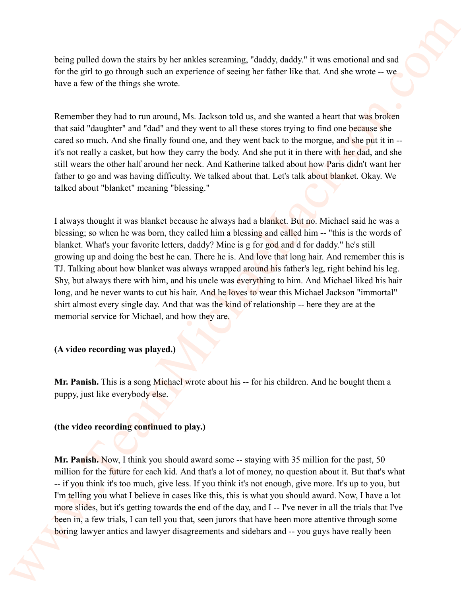being pulled down the stairs by her ankles screaming, "daddy, daddy." it was emotional and sad for the girl to go through such an experience of seeing her father like that. And she wrote -- we have a few of the things she wrote.

Remember they had to run around, Ms. Jackson told us, and she wanted a heart that was broken that said "daughter" and "dad" and they went to all these stores trying to find one because she cared so much. And she finally found one, and they went back to the morgue, and she put it in -it's not really a casket, but how they carry the body. And she put it in there with her dad, and she still wears the other half around her neck. And Katherine talked about how Paris didn't want her father to go and was having difficulty. We talked about that. Let's talk about blanket. Okay. We talked about "blanket" meaning "blessing."

I always thought it was blanket because he always had a blanket. But no. Michael said he was a blessing; so when he was born, they called him a blessing and called him -- "this is the words of blanket. What's your favorite letters, daddy? Mine is g for god and d for daddy." he's still growing up and doing the best he can. There he is. And love that long hair. And remember this is TJ. Talking about how blanket was always wrapped around his father's leg, right behind his leg. Shy, but always there with him, and his uncle was everything to him. And Michael liked his hair long, and he never wants to cut his hair. And he loves to wear this Michael Jackson "immortal" shirt almost every single day. And that was the kind of relationship -- here they are at the memorial service for Michael, and how they are. being publish down the starts by be analise scenaring, "databy databy" it was emissional and start has the tract of the publish of the start of the base when the start of the start of the start of the start of the start o

## **(A video recording was played.)**

**Mr. Panish.** This is a song Michael wrote about his -- for his children. And he bought them a puppy, just like everybody else.

#### **(the video recording continued to play.)**

Mr. Panish. Now, I think you should award some -- staying with 35 million for the past, 50 million for the future for each kid. And that's a lot of money, no question about it. But that's what -- if you think it's too much, give less. If you think it's not enough, give more. It's up to you, but I'm telling you what I believe in cases like this, this is what you should award. Now, I have a lot more slides, but it's getting towards the end of the day, and I -- I've never in all the trials that I've been in, a few trials, I can tell you that, seen jurors that have been more attentive through some boring lawyer antics and lawyer disagreements and sidebars and -- you guys have really been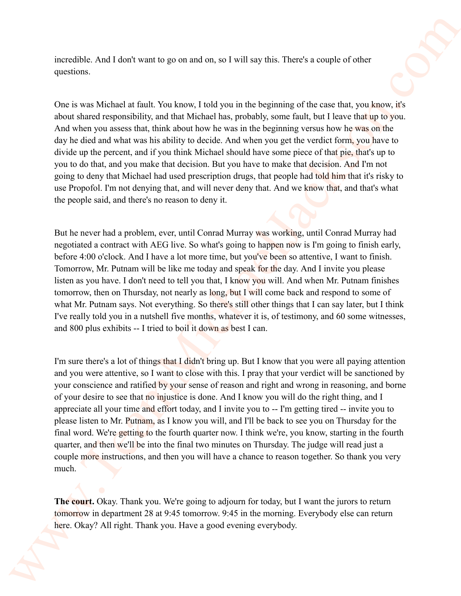incredible. And I don't want to go on and on, so I will say this. There's a couple of other questions.

One is was Michael at fault. You know, I told you in the beginning of the case that, you know, it's about shared responsibility, and that Michael has, probably, some fault, but I leave that up to you. And when you assess that, think about how he was in the beginning versus how he was on the day he died and what was his ability to decide. And when you get the verdict form, you have to divide up the percent, and if you think Michael should have some piece of that pie, that's up to you to do that, and you make that decision. But you have to make that decision. And I'm not going to deny that Michael had used prescription drugs, that people had told him that it's risky to use Propofol. I'm not denying that, and will never deny that. And we know that, and that's what the people said, and there's no reason to deny it.

But he never had a problem, ever, until Conrad Murray was working, until Conrad Murray had negotiated a contract with AEG live. So what's going to happen now is I'm going to finish early, before 4:00 o'clock. And I have a lot more time, but you've been so attentive, I want to finish. Tomorrow, Mr. Putnam will be like me today and speak for the day. And I invite you please listen as you have. I don't need to tell you that, I know you will. And when Mr. Putnam finishes tomorrow, then on Thursday, not nearly as long, but I will come back and respond to some of what Mr. Putnam says. Not everything. So there's still other things that I can say later, but I think I've really told you in a nutshell five months, whatever it is, of testimony, and 60 some witnesses, and 800 plus exhibits -- I tried to boil it down as best I can.

I'm sure there's a lot of things that I didn't bring up. But I know that you were all paying attention and you were attentive, so I want to close with this. I pray that your verdict will be sanctioned by your conscience and ratified by your sense of reason and right and wrong in reasoning, and borne of your desire to see that no injustice is done. And I know you will do the right thing, and I appreciate all your time and effort today, and I invite you to -- I'm getting tired -- invite you to please listen to Mr. Putnam, as I know you will, and I'll be back to see you on Thursday for the final word. We're getting to the fourth quarter now. I think we're, you know, starting in the fourth quarter, and then we'll be into the final two minutes on Thursday. The judge will read just a couple more instructions, and then you will have a chance to reason together. So thank you very much. There is the same of the same of the same of the same of the same of the same of the same of the same of the same of the same of the same of the same of the same of the same of the same of the same of the same of the same

**The court.** Okay. Thank you. We're going to adjourn for today, but I want the jurors to return tomorrow in department 28 at 9:45 tomorrow. 9:45 in the morning. Everybody else can return here. Okay? All right. Thank you. Have a good evening everybody.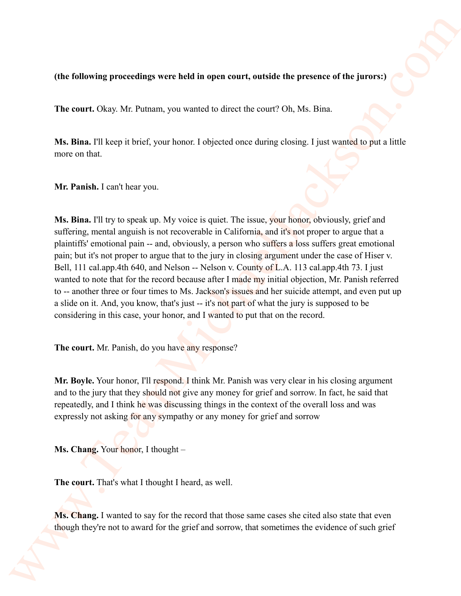## **(the following proceedings were held in open court, outside the presence of the jurors:)**

**The court.** Okay. Mr. Putnam, you wanted to direct the court? Oh, Ms. Bina.

**Ms. Bina.** I'll keep it brief, your honor. I objected once during closing. I just wanted to put a little more on that.

**Mr. Panish.** I can't hear you.

Ms. Bina. I'll try to speak up. My voice is quiet. The issue, your honor, obviously, grief and suffering, mental anguish is not recoverable in California, and it's not proper to argue that a plaintiffs' emotional pain -- and, obviously, a person who suffers a loss suffers great emotional pain; but it's not proper to argue that to the jury in closing argument under the case of Hiser v. Bell, 111 cal.app.4th 640, and Nelson -- Nelson v. County of L.A. 113 cal.app.4th 73. I just wanted to note that for the record because after I made my initial objection, Mr. Panish referred to -- another three or four times to Ms. Jackson's issues and her suicide attempt, and even put up a slide on it. And, you know, that's just -- it's not part of what the jury is supposed to be considering in this case, your honor, and I wanted to put that on the record. (the following proceedings were held in open court, outside the presence of the jurys):<br>
The court Okay, Mr. Patana, you wanted to direct the court? Oh, Mr. Bina,<br>
Mr. Bina, Til keep it brief, your hence I objected ease d

**The court.** Mr. Panish, do you have any response?

**Mr. Boyle.** Your honor, I'll respond. I think Mr. Panish was very clear in his closing argument and to the jury that they should not give any money for grief and sorrow. In fact, he said that repeatedly, and I think he was discussing things in the context of the overall loss and was expressly not asking for any sympathy or any money for grief and sorrow

**Ms. Chang.** Your honor, I thought –

**The court.** That's what I thought I heard, as well.

**Ms. Chang.** I wanted to say for the record that those same cases she cited also state that even though they're not to award for the grief and sorrow, that sometimes the evidence of such grief